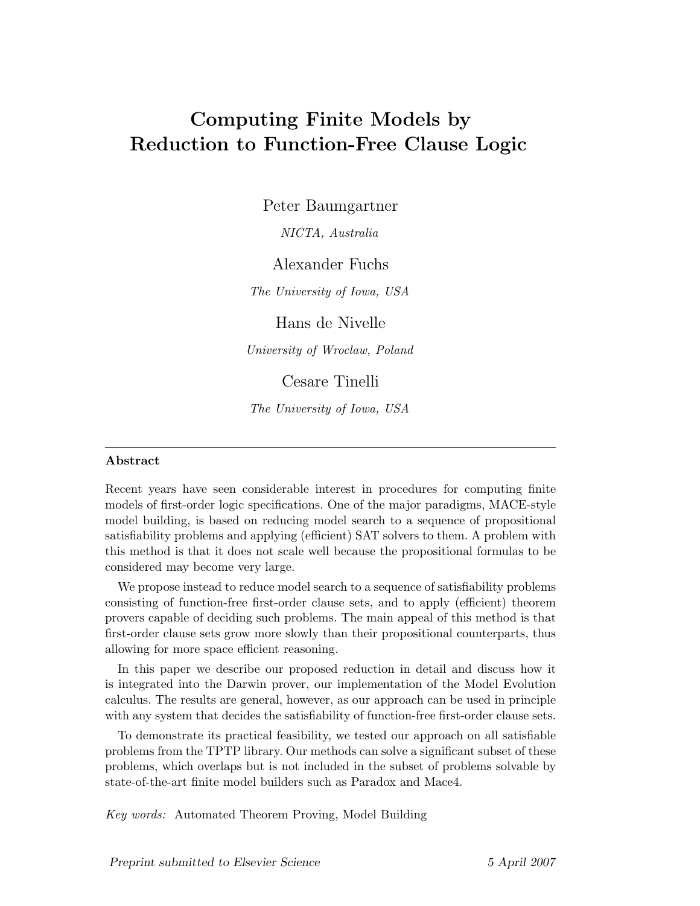# Computing Finite Models by Reduction to Function-Free Clause Logic

Peter Baumgartner

NICTA, Australia

Alexander Fuchs

The University of Iowa, USA

Hans de Nivelle

University of Wroclaw, Poland

Cesare Tinelli

The University of Iowa, USA

#### Abstract

Recent years have seen considerable interest in procedures for computing finite models of first-order logic specifications. One of the major paradigms, MACE-style model building, is based on reducing model search to a sequence of propositional satisfiability problems and applying (efficient) SAT solvers to them. A problem with this method is that it does not scale well because the propositional formulas to be considered may become very large.

We propose instead to reduce model search to a sequence of satisfiability problems consisting of function-free first-order clause sets, and to apply (efficient) theorem provers capable of deciding such problems. The main appeal of this method is that first-order clause sets grow more slowly than their propositional counterparts, thus allowing for more space efficient reasoning.

In this paper we describe our proposed reduction in detail and discuss how it is integrated into the Darwin prover, our implementation of the Model Evolution calculus. The results are general, however, as our approach can be used in principle with any system that decides the satisfiability of function-free first-order clause sets.

To demonstrate its practical feasibility, we tested our approach on all satisfiable problems from the TPTP library. Our methods can solve a significant subset of these problems, which overlaps but is not included in the subset of problems solvable by state-of-the-art finite model builders such as Paradox and Mace4.

Key words: Automated Theorem Proving, Model Building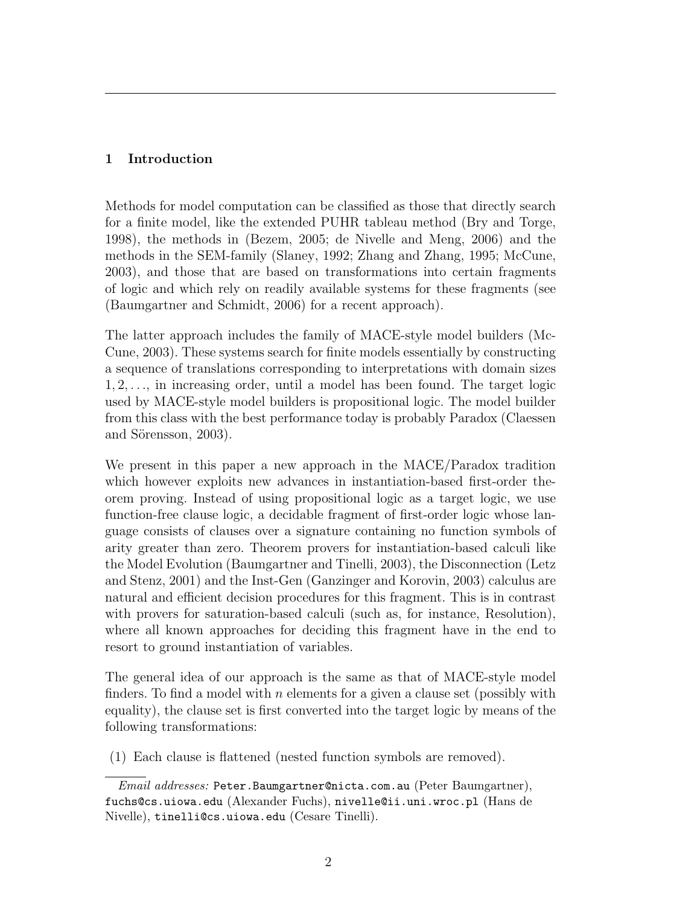# 1 Introduction

Methods for model computation can be classified as those that directly search for a finite model, like the extended PUHR tableau method (Bry and Torge, 1998), the methods in (Bezem, 2005; de Nivelle and Meng, 2006) and the methods in the SEM-family (Slaney, 1992; Zhang and Zhang, 1995; McCune, 2003), and those that are based on transformations into certain fragments of logic and which rely on readily available systems for these fragments (see (Baumgartner and Schmidt, 2006) for a recent approach).

The latter approach includes the family of MACE-style model builders (Mc-Cune, 2003). These systems search for finite models essentially by constructing a sequence of translations corresponding to interpretations with domain sizes 1, 2, . . ., in increasing order, until a model has been found. The target logic used by MACE-style model builders is propositional logic. The model builder from this class with the best performance today is probably Paradox (Claessen and Sörensson, 2003).

We present in this paper a new approach in the MACE/Paradox tradition which however exploits new advances in instantiation-based first-order theorem proving. Instead of using propositional logic as a target logic, we use function-free clause logic, a decidable fragment of first-order logic whose language consists of clauses over a signature containing no function symbols of arity greater than zero. Theorem provers for instantiation-based calculi like the Model Evolution (Baumgartner and Tinelli, 2003), the Disconnection (Letz and Stenz, 2001) and the Inst-Gen (Ganzinger and Korovin, 2003) calculus are natural and efficient decision procedures for this fragment. This is in contrast with provers for saturation-based calculi (such as, for instance, Resolution), where all known approaches for deciding this fragment have in the end to resort to ground instantiation of variables.

The general idea of our approach is the same as that of MACE-style model finders. To find a model with  $n$  elements for a given a clause set (possibly with equality), the clause set is first converted into the target logic by means of the following transformations:

(1) Each clause is flattened (nested function symbols are removed).

Email addresses: Peter.Baumgartner@nicta.com.au (Peter Baumgartner), fuchs@cs.uiowa.edu (Alexander Fuchs), nivelle@ii.uni.wroc.pl (Hans de Nivelle), tinelli@cs.uiowa.edu (Cesare Tinelli).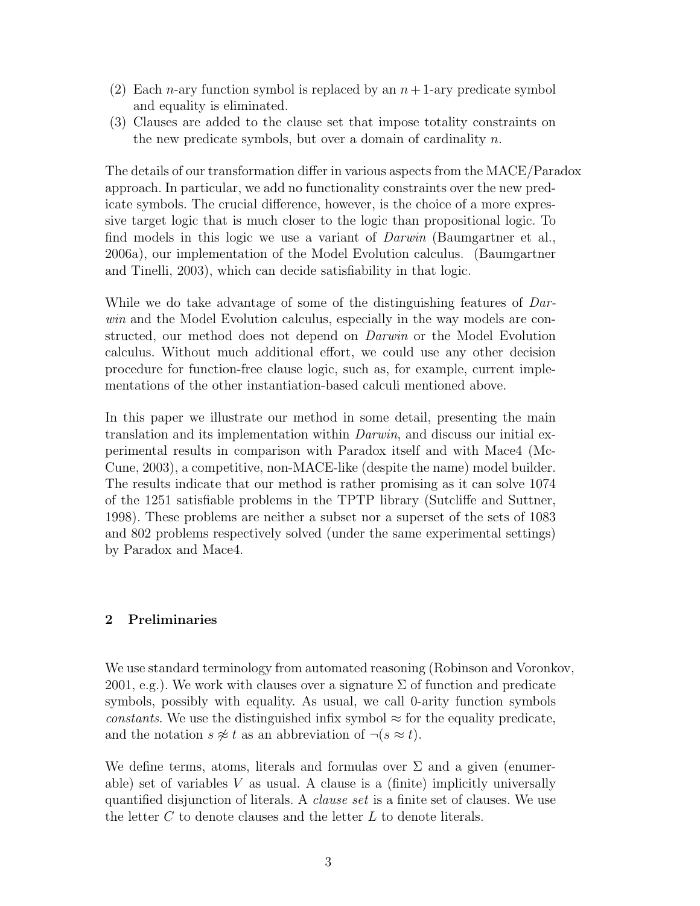- (2) Each *n*-ary function symbol is replaced by an  $n+1$ -ary predicate symbol and equality is eliminated.
- (3) Clauses are added to the clause set that impose totality constraints on the new predicate symbols, but over a domain of cardinality  $n$ .

The details of our transformation differ in various aspects from the MACE/Paradox approach. In particular, we add no functionality constraints over the new predicate symbols. The crucial difference, however, is the choice of a more expressive target logic that is much closer to the logic than propositional logic. To find models in this logic we use a variant of Darwin (Baumgartner et al., 2006a), our implementation of the Model Evolution calculus. (Baumgartner and Tinelli, 2003), which can decide satisfiability in that logic.

While we do take advantage of some of the distinguishing features of *Dar*win and the Model Evolution calculus, especially in the way models are constructed, our method does not depend on Darwin or the Model Evolution calculus. Without much additional effort, we could use any other decision procedure for function-free clause logic, such as, for example, current implementations of the other instantiation-based calculi mentioned above.

In this paper we illustrate our method in some detail, presenting the main translation and its implementation within Darwin, and discuss our initial experimental results in comparison with Paradox itself and with Mace4 (Mc-Cune, 2003), a competitive, non-MACE-like (despite the name) model builder. The results indicate that our method is rather promising as it can solve 1074 of the 1251 satisfiable problems in the TPTP library (Sutcliffe and Suttner, 1998). These problems are neither a subset nor a superset of the sets of 1083 and 802 problems respectively solved (under the same experimental settings) by Paradox and Mace4.

### 2 Preliminaries

We use standard terminology from automated reasoning (Robinson and Voronkov, 2001, e.g.). We work with clauses over a signature  $\Sigma$  of function and predicate symbols, possibly with equality. As usual, we call 0-arity function symbols constants. We use the distinguished infix symbol  $\approx$  for the equality predicate, and the notation  $s \not\approx t$  as an abbreviation of  $\neg (s \approx t)$ .

We define terms, atoms, literals and formulas over  $\Sigma$  and a given (enumerable) set of variables  $V$  as usual. A clause is a (finite) implicitly universally quantified disjunction of literals. A clause set is a finite set of clauses. We use the letter  $C$  to denote clauses and the letter  $L$  to denote literals.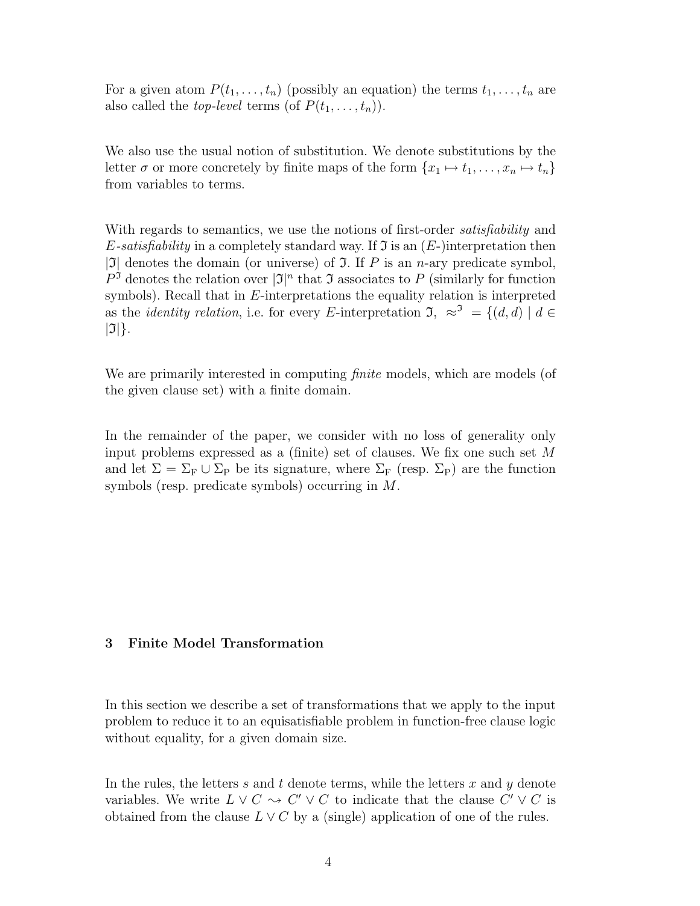For a given atom  $P(t_1, \ldots, t_n)$  (possibly an equation) the terms  $t_1, \ldots, t_n$  are also called the *top-level* terms (of  $P(t_1, \ldots, t_n)$ ).

We also use the usual notion of substitution. We denote substitutions by the letter  $\sigma$  or more concretely by finite maps of the form  $\{x_1 \mapsto t_1, \ldots, x_n \mapsto t_n\}$ from variables to terms.

With regards to semantics, we use the notions of first-order *satisfiability* and E-satisfiability in a completely standard way. If  $\mathfrak I$  is an  $(E-)$  interpretation then |J| denotes the domain (or universe) of  $\mathfrak I$ . If P is an n-ary predicate symbol,  $P^{\mathfrak{I}}$  denotes the relation over  $|\mathfrak{I}|^n$  that  $\mathfrak{I}$  associates to P (similarly for function symbols). Recall that in  $E$ -interpretations the equality relation is interpreted as the *identity relation*, i.e. for every E-interpretation  $\mathfrak{I}, \approx^{\mathfrak{I}} = \{(d, d) \mid d \in$  $|\mathfrak{I}|$ .

We are primarily interested in computing *finite* models, which are models (of the given clause set) with a finite domain.

In the remainder of the paper, we consider with no loss of generality only input problems expressed as a (finite) set of clauses. We fix one such set M and let  $\Sigma = \Sigma_{\rm F} \cup \Sigma_{\rm P}$  be its signature, where  $\Sigma_{\rm F}$  (resp.  $\Sigma_{\rm P}$ ) are the function symbols (resp. predicate symbols) occurring in M.

#### 3 Finite Model Transformation

In this section we describe a set of transformations that we apply to the input problem to reduce it to an equisatisfiable problem in function-free clause logic without equality, for a given domain size.

In the rules, the letters s and t denote terms, while the letters x and y denote variables. We write  $L \vee C \leadsto C' \vee C$  to indicate that the clause  $C' \vee C$  is obtained from the clause  $L \vee C$  by a (single) application of one of the rules.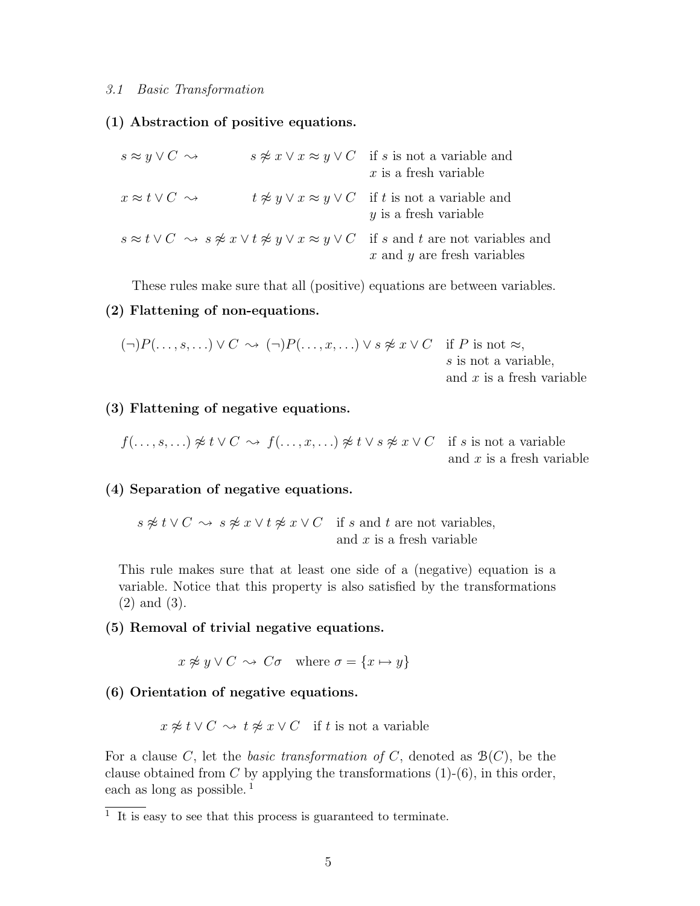#### 3.1 Basic Transformation

#### (1) Abstraction of positive equations.

| $s \approx y \vee C \rightsquigarrow$ | $s \not\approx x \vee x \approx y \vee C$ if s is not a variable and<br>$x$ is a fresh variable                                                                          |
|---------------------------------------|--------------------------------------------------------------------------------------------------------------------------------------------------------------------------|
| $x \approx t \vee C \sim$             | $t \not\approx y \vee x \approx y \vee C$ if t is not a variable and<br>$y$ is a fresh variable                                                                          |
|                                       | $s \approx t \vee C \ \rightsquigarrow s \not\approx x \vee t \not\approx y \vee x \approx y \vee C$ if s and t are not variables and<br>$x$ and $y$ are fresh variables |

These rules make sure that all (positive) equations are between variables.

#### (2) Flattening of non-equations.

$$
(\neg)P(\ldots,s,\ldots) \lor C \leadsto (\neg)P(\ldots,x,\ldots) \lor s \not\approx x \lor C \quad \text{if } P \text{ is not } \approx,
$$
  
s is not a variable,  
and x is a fresh variable

# (3) Flattening of negative equations.

$$
f(\ldots, s, \ldots) \not\approx t \vee C \rightsquigarrow f(\ldots, x, \ldots) \not\approx t \vee s \not\approx x \vee C
$$
 if s is not a variable  
and x is a fresh variable

#### (4) Separation of negative equations.

 $s \not\approx t \vee C \leadsto s \not\approx x \vee t \not\approx x \vee C$  if s and t are not variables, and  $x$  is a fresh variable

This rule makes sure that at least one side of a (negative) equation is a variable. Notice that this property is also satisfied by the transformations (2) and (3).

#### (5) Removal of trivial negative equations.

 $x \not\approx y \vee C \rightsquigarrow C \sigma$  where  $\sigma = \{x \mapsto y\}$ 

#### (6) Orientation of negative equations.

 $x \not\approx t \vee C \rightsquigarrow t \not\approx x \vee C$  if t is not a variable

For a clause C, let the *basic transformation of* C, denoted as  $\mathcal{B}(C)$ , be the clause obtained from C by applying the transformations  $(1)-(6)$ , in this order, each as long as possible.<sup>1</sup>

<sup>1</sup> It is easy to see that this process is guaranteed to terminate.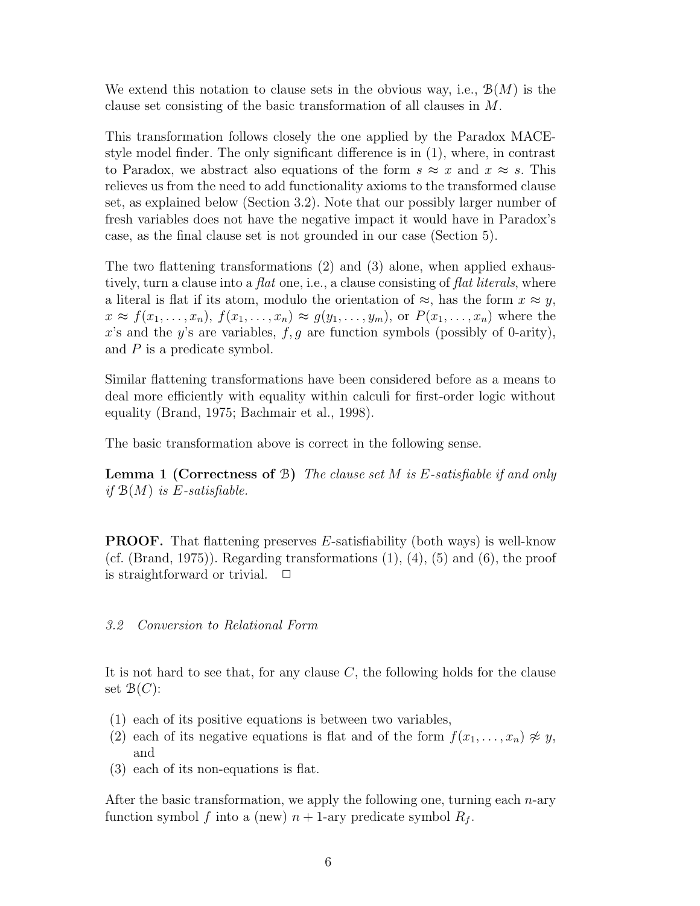We extend this notation to clause sets in the obvious way, i.e.,  $\mathcal{B}(M)$  is the clause set consisting of the basic transformation of all clauses in M.

This transformation follows closely the one applied by the Paradox MACEstyle model finder. The only significant difference is in (1), where, in contrast to Paradox, we abstract also equations of the form  $s \approx x$  and  $x \approx s$ . This relieves us from the need to add functionality axioms to the transformed clause set, as explained below (Section 3.2). Note that our possibly larger number of fresh variables does not have the negative impact it would have in Paradox's case, as the final clause set is not grounded in our case (Section 5).

The two flattening transformations (2) and (3) alone, when applied exhaustively, turn a clause into a *flat* one, i.e., a clause consisting of *flat literals*, where a literal is flat if its atom, modulo the orientation of  $\approx$ , has the form  $x \approx y$ ,  $x \approx f(x_1,\ldots,x_n)$ ,  $f(x_1,\ldots,x_n) \approx g(y_1,\ldots,y_m)$ , or  $P(x_1,\ldots,x_n)$  where the x's and the y's are variables,  $f, g$  are function symbols (possibly of 0-arity), and  $P$  is a predicate symbol.

Similar flattening transformations have been considered before as a means to deal more efficiently with equality within calculi for first-order logic without equality (Brand, 1975; Bachmair et al., 1998).

The basic transformation above is correct in the following sense.

**Lemma 1 (Correctness of B)** The clause set M is E-satisfiable if and only if  $\mathcal{B}(M)$  is E-satisfiable.

PROOF. That flattening preserves E-satisfiability (both ways) is well-know (cf. (Brand, 1975)). Regarding transformations  $(1)$ ,  $(4)$ ,  $(5)$  and  $(6)$ , the proof is straightforward or trivial.  $\Box$ 

### 3.2 Conversion to Relational Form

It is not hard to see that, for any clause  $C$ , the following holds for the clause set  $\mathcal{B}(C)$ :

- (1) each of its positive equations is between two variables,
- (2) each of its negative equations is flat and of the form  $f(x_1, \ldots, x_n) \not\approx y$ , and
- (3) each of its non-equations is flat.

After the basic transformation, we apply the following one, turning each  $n$ -ary function symbol f into a (new)  $n + 1$ -ary predicate symbol  $R_f$ .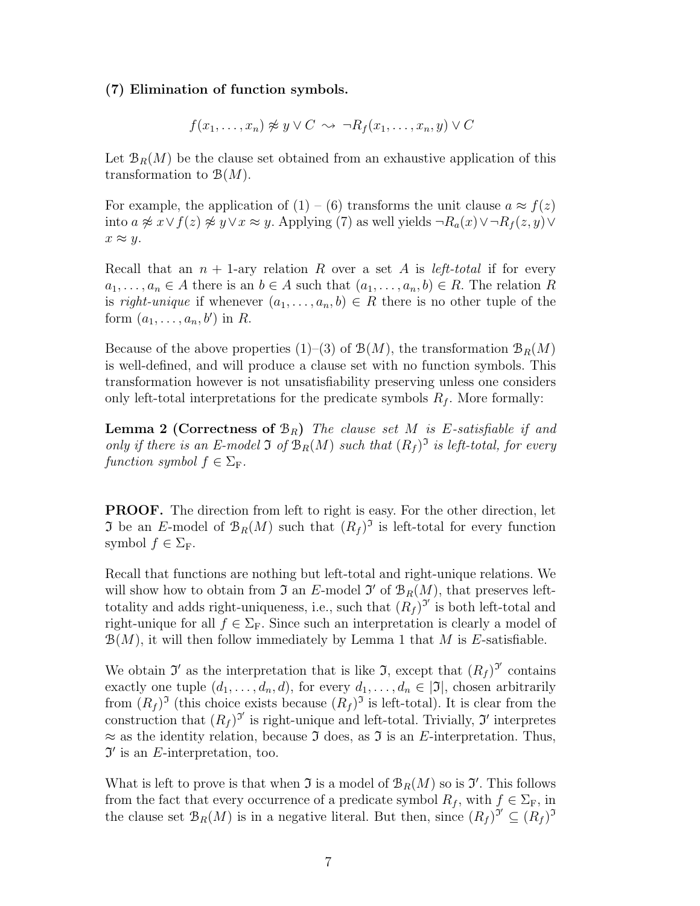#### (7) Elimination of function symbols.

$$
f(x_1, \ldots, x_n) \not\approx y \lor C \leadsto \neg R_f(x_1, \ldots, x_n, y) \lor C
$$

Let  $\mathcal{B}_R(M)$  be the clause set obtained from an exhaustive application of this transformation to  $\mathcal{B}(M)$ .

For example, the application of  $(1) - (6)$  transforms the unit clause  $a \approx f(z)$ into  $a \not\approx x \vee f(z) \not\approx y \vee x \approx y$ . Applying (7) as well yields  $\neg R_a(x) \vee \neg R_f(z, y) \vee \neg R_f(z, y)$  $x \approx y$ .

Recall that an  $n + 1$ -ary relation R over a set A is *left-total* if for every  $a_1, \ldots, a_n \in A$  there is an  $b \in A$  such that  $(a_1, \ldots, a_n, b) \in R$ . The relation R is right-unique if whenever  $(a_1, \ldots, a_n, b) \in R$  there is no other tuple of the form  $(a_1, \ldots, a_n, b')$  in R.

Because of the above properties (1)–(3) of  $\mathcal{B}(M)$ , the transformation  $\mathcal{B}_R(M)$ is well-defined, and will produce a clause set with no function symbols. This transformation however is not unsatisfiability preserving unless one considers only left-total interpretations for the predicate symbols  $R_f$ . More formally:

**Lemma 2 (Correctness of**  $\mathcal{B}_R$ **)** The clause set M is E-satisfiable if and only if there is an E-model  $\Im$  of  $\mathcal{B}_R(M)$  such that  $(R_f)^{\Im}$  is left-total, for every function symbol  $f \in \Sigma_{\mathrm{F}}$ .

PROOF. The direction from left to right is easy. For the other direction, let **J** be an E-model of  $\mathcal{B}_R(M)$  such that  $(R_f)^3$  is left-total for every function symbol  $f \in \Sigma_{\mathrm{F}}$ .

Recall that functions are nothing but left-total and right-unique relations. We will show how to obtain from  $\mathfrak I$  an E-model  $\mathfrak I'$  of  $\mathfrak B_R(M)$ , that preserves lefttotality and adds right-uniqueness, i.e., such that  $(R_f)^{3'}$  is both left-total and right-unique for all  $f \in \Sigma_F$ . Since such an interpretation is clearly a model of  $\mathcal{B}(M)$ , it will then follow immediately by Lemma 1 that M is E-satisfiable.

We obtain  $\mathfrak{I}'$  as the interpretation that is like  $\mathfrak{I}$ , except that  $(R_f)^{\mathfrak{I}'}$  contains exactly one tuple  $(d_1, \ldots, d_n, d)$ , for every  $d_1, \ldots, d_n \in [\mathfrak{I}]$ , chosen arbitrarily from  $(R_f)^3$  (this choice exists because  $(R_f)^3$  is left-total). It is clear from the construction that  $(R_f)^{3'}$  is right-unique and left-total. Trivially, 3' interpretes  $\approx$  as the identity relation, because  $\mathfrak I$  does, as  $\mathfrak I$  is an E-interpretation. Thus,  $\mathfrak{I}'$  is an E-interpretation, too.

What is left to prove is that when  $\mathfrak I$  is a model of  $\mathcal{B}_R(M)$  so is  $\mathfrak I'$ . This follows from the fact that every occurrence of a predicate symbol  $R_f$ , with  $f \in \Sigma_F$ , in the clause set  $\mathcal{B}_R(M)$  is in a negative literal. But then, since  $(R_f)^{j'} \subseteq (R_f)^{j'}$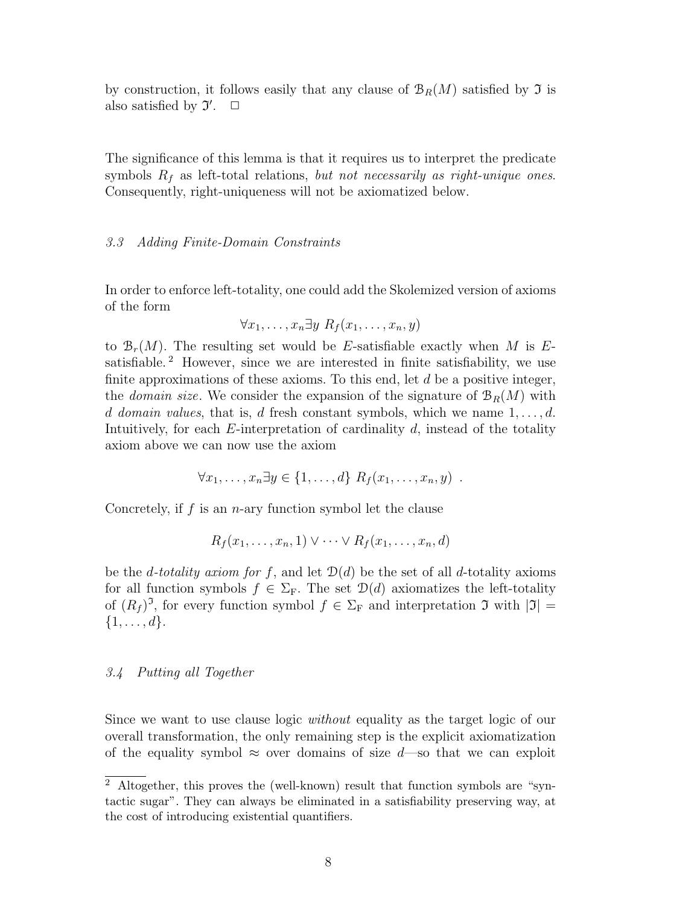by construction, it follows easily that any clause of  $B_R(M)$  satisfied by  $\mathfrak I$  is also satisfied by  $\mathfrak{I}'$ .  $\Box$ 

The significance of this lemma is that it requires us to interpret the predicate symbols  $R_f$  as left-total relations, but not necessarily as right-unique ones. Consequently, right-uniqueness will not be axiomatized below.

#### 3.3 Adding Finite-Domain Constraints

In order to enforce left-totality, one could add the Skolemized version of axioms of the form

$$
\forall x_1, \ldots, x_n \exists y \; R_f(x_1, \ldots, x_n, y)
$$

to  $\mathcal{B}_r(M)$ . The resulting set would be E-satisfiable exactly when M is Esatisfiable.<sup>2</sup> However, since we are interested in finite satisfiability, we use finite approximations of these axioms. To this end, let  $d$  be a positive integer, the *domain size*. We consider the expansion of the signature of  $\mathcal{B}_R(M)$  with d domain values, that is, d fresh constant symbols, which we name  $1, \ldots, d$ . Intuitively, for each  $E$ -interpretation of cardinality  $d$ , instead of the totality axiom above we can now use the axiom

$$
\forall x_1, \ldots, x_n \exists y \in \{1, \ldots, d\} \; R_f(x_1, \ldots, x_n, y) \; .
$$

Concretely, if  $f$  is an  $n$ -ary function symbol let the clause

$$
R_f(x_1,\ldots,x_n,1)\vee\cdots\vee R_f(x_1,\ldots,x_n,d)
$$

be the *d*-totality axiom for f, and let  $\mathcal{D}(d)$  be the set of all *d*-totality axioms for all function symbols  $f \in \Sigma_F$ . The set  $\mathcal{D}(d)$  axiomatizes the left-totality of  $(R_f)^3$ , for every function symbol  $f \in \Sigma_F$  and interpretation  $\mathfrak I$  with  $|\mathfrak I|=$  $\{1,\ldots,d\}.$ 

#### 3.4 Putting all Together

Since we want to use clause logic without equality as the target logic of our overall transformation, the only remaining step is the explicit axiomatization of the equality symbol  $\approx$  over domains of size d—so that we can exploit

<sup>2</sup> Altogether, this proves the (well-known) result that function symbols are "syntactic sugar". They can always be eliminated in a satisfiability preserving way, at the cost of introducing existential quantifiers.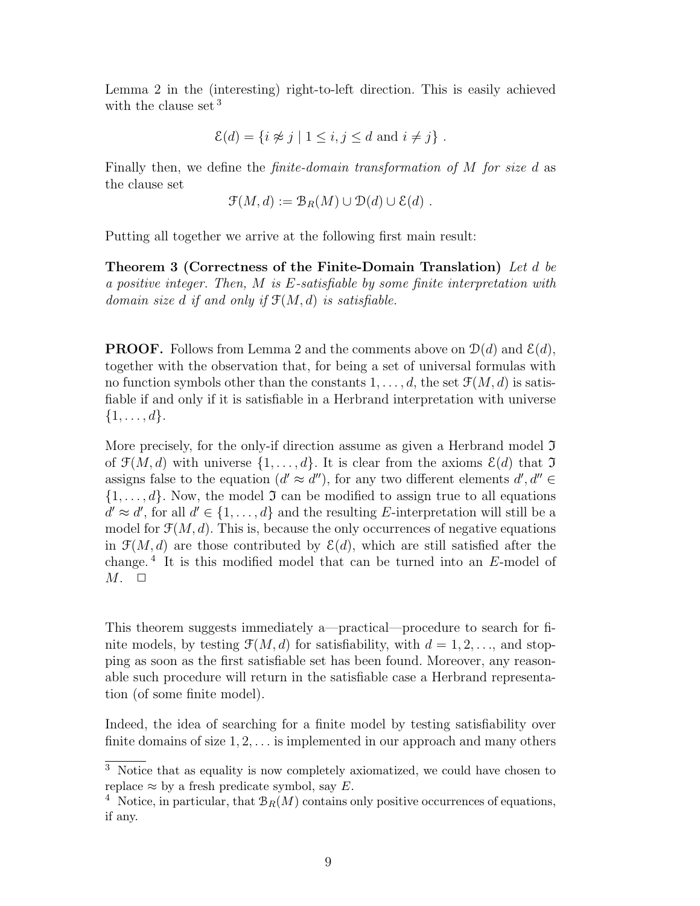Lemma 2 in the (interesting) right-to-left direction. This is easily achieved with the clause set <sup>3</sup>

$$
\mathcal{E}(d) = \{ i \not\approx j \mid 1 \le i, j \le d \text{ and } i \neq j \} .
$$

Finally then, we define the *finite-domain transformation of M for size d* as the clause set

$$
\mathcal{F}(M,d) := \mathcal{B}_R(M) \cup \mathcal{D}(d) \cup \mathcal{E}(d) .
$$

Putting all together we arrive at the following first main result:

Theorem 3 (Correctness of the Finite-Domain Translation) Let d be a positive integer. Then, M is E-satisfiable by some finite interpretation with domain size d if and only if  $\mathfrak{F}(M, d)$  is satisfiable.

**PROOF.** Follows from Lemma 2 and the comments above on  $\mathcal{D}(d)$  and  $\mathcal{E}(d)$ , together with the observation that, for being a set of universal formulas with no function symbols other than the constants  $1, \ldots, d$ , the set  $\mathcal{F}(M, d)$  is satisfiable if and only if it is satisfiable in a Herbrand interpretation with universe  $\{1,\ldots,d\}.$ 

More precisely, for the only-if direction assume as given a Herbrand model  $\mathfrak I$ of  $\mathcal{F}(M, d)$  with universe  $\{1, \ldots, d\}$ . It is clear from the axioms  $\mathcal{E}(d)$  that  $\mathcal{T}$ assigns false to the equation  $(d' \approx d'')$ , for any two different elements  $d', d'' \in$  $\{1, \ldots, d\}$ . Now, the model  $\mathfrak I$  can be modified to assign true to all equations  $d' \approx d'$ , for all  $d' \in \{1, \ldots, d\}$  and the resulting E-interpretation will still be a model for  $\mathcal{F}(M, d)$ . This is, because the only occurrences of negative equations in  $\mathcal{F}(M, d)$  are those contributed by  $\mathcal{E}(d)$ , which are still satisfied after the change. <sup>4</sup> It is this modified model that can be turned into an E-model of  $M. \square$ 

This theorem suggests immediately a—practical—procedure to search for finite models, by testing  $\mathcal{F}(M, d)$  for satisfiability, with  $d = 1, 2, \ldots$ , and stopping as soon as the first satisfiable set has been found. Moreover, any reasonable such procedure will return in the satisfiable case a Herbrand representation (of some finite model).

Indeed, the idea of searching for a finite model by testing satisfiability over finite domains of size  $1, 2, \ldots$  is implemented in our approach and many others

<sup>&</sup>lt;sup>3</sup> Notice that as equality is now completely axiomatized, we could have chosen to replace  $\approx$  by a fresh predicate symbol, say E.

<sup>&</sup>lt;sup>4</sup> Notice, in particular, that  $\mathcal{B}_R(M)$  contains only positive occurrences of equations, if any.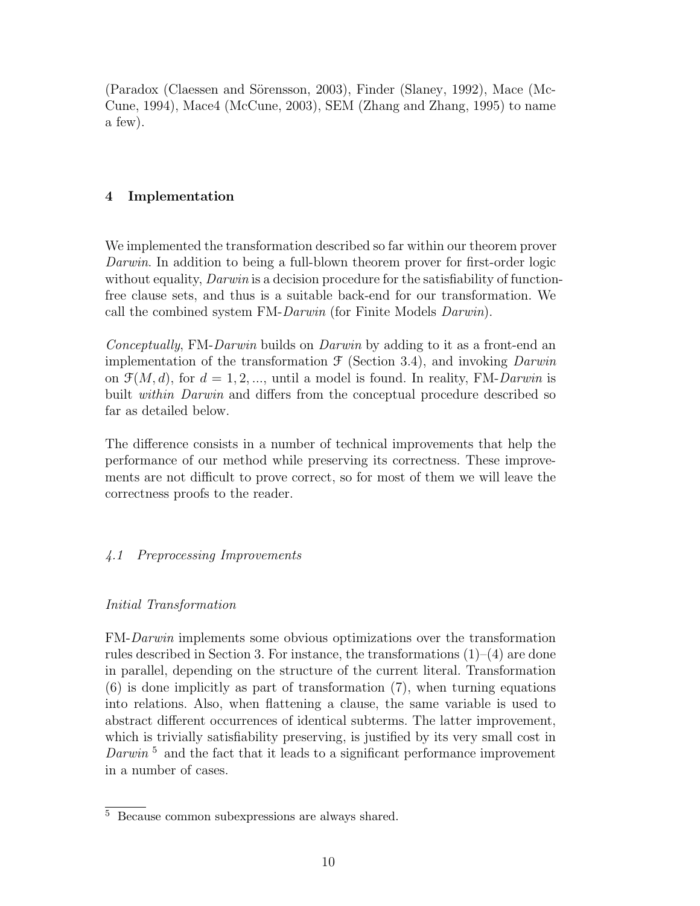(Paradox (Claessen and Sörensson, 2003), Finder (Slaney, 1992), Mace (Mc-Cune, 1994), Mace4 (McCune, 2003), SEM (Zhang and Zhang, 1995) to name a few).

# 4 Implementation

We implemented the transformation described so far within our theorem prover Darwin. In addition to being a full-blown theorem prover for first-order logic without equality, *Darwin* is a decision procedure for the satisfiability of functionfree clause sets, and thus is a suitable back-end for our transformation. We call the combined system FM-Darwin (for Finite Models Darwin).

Conceptually, FM-Darwin builds on Darwin by adding to it as a front-end an implementation of the transformation  $\mathcal F$  (Section 3.4), and invoking *Darwin* on  $\mathcal{F}(M, d)$ , for  $d = 1, 2, \dots$ , until a model is found. In reality, FM-Darwin is built *within Darwin* and differs from the conceptual procedure described so far as detailed below.

The difference consists in a number of technical improvements that help the performance of our method while preserving its correctness. These improvements are not difficult to prove correct, so for most of them we will leave the correctness proofs to the reader.

# 4.1 Preprocessing Improvements

# Initial Transformation

FM-Darwin implements some obvious optimizations over the transformation rules described in Section 3. For instance, the transformations  $(1)-(4)$  are done in parallel, depending on the structure of the current literal. Transformation (6) is done implicitly as part of transformation (7), when turning equations into relations. Also, when flattening a clause, the same variable is used to abstract different occurrences of identical subterms. The latter improvement, which is trivially satisfiability preserving, is justified by its very small cost in Darwin<sup>5</sup> and the fact that it leads to a significant performance improvement in a number of cases.

<sup>5</sup> Because common subexpressions are always shared.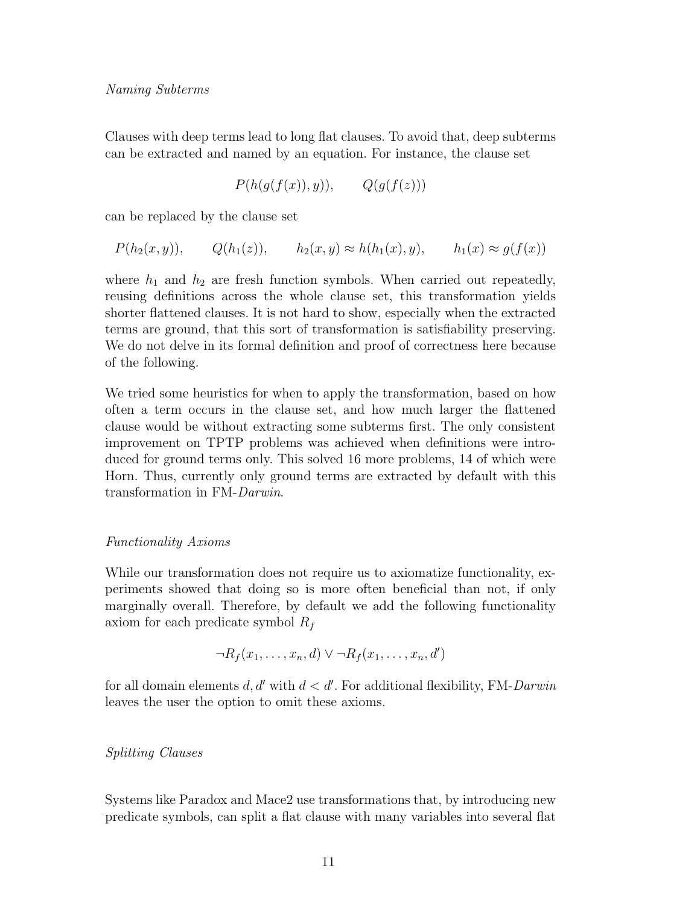Clauses with deep terms lead to long flat clauses. To avoid that, deep subterms can be extracted and named by an equation. For instance, the clause set

$$
P(h(g(f(x)), y)), \qquad Q(g(f(z)))
$$

can be replaced by the clause set

$$
P(h_2(x, y)), \qquad Q(h_1(z)), \qquad h_2(x, y) \approx h(h_1(x), y), \qquad h_1(x) \approx g(f(x))
$$

where  $h_1$  and  $h_2$  are fresh function symbols. When carried out repeatedly, reusing definitions across the whole clause set, this transformation yields shorter flattened clauses. It is not hard to show, especially when the extracted terms are ground, that this sort of transformation is satisfiability preserving. We do not delve in its formal definition and proof of correctness here because of the following.

We tried some heuristics for when to apply the transformation, based on how often a term occurs in the clause set, and how much larger the flattened clause would be without extracting some subterms first. The only consistent improvement on TPTP problems was achieved when definitions were introduced for ground terms only. This solved 16 more problems, 14 of which were Horn. Thus, currently only ground terms are extracted by default with this transformation in FM-Darwin.

#### Functionality Axioms

While our transformation does not require us to axiomatize functionality, experiments showed that doing so is more often beneficial than not, if only marginally overall. Therefore, by default we add the following functionality axiom for each predicate symbol  $R_f$ 

$$
\neg R_f(x_1,\ldots,x_n,d) \lor \neg R_f(x_1,\ldots,x_n,d')
$$

for all domain elements  $d, d'$  with  $d < d'$ . For additional flexibility, FM-Darwin leaves the user the option to omit these axioms.

#### Splitting Clauses

Systems like Paradox and Mace2 use transformations that, by introducing new predicate symbols, can split a flat clause with many variables into several flat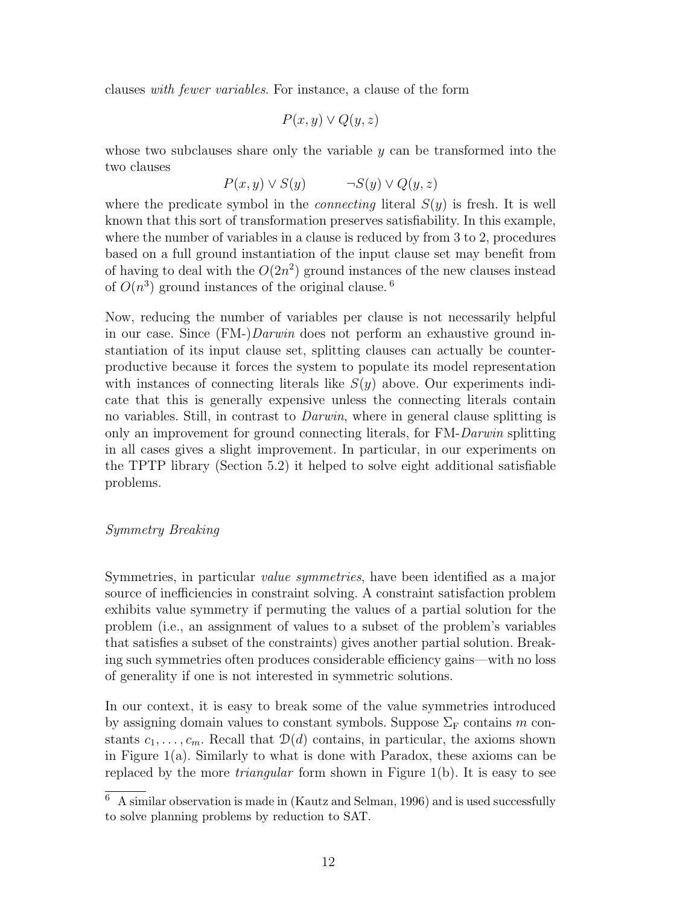clauses with fewer variables. For instance, a clause of the form

$$
P(x, y) \lor Q(y, z)
$$

whose two subclauses share only the variable  $y$  can be transformed into the two clauses

$$
P(x, y) \lor S(y) \qquad \neg S(y) \lor Q(y, z)
$$

where the predicate symbol in the *connecting* literal  $S(y)$  is fresh. It is well known that this sort of transformation preserves satisfiability. In this example, where the number of variables in a clause is reduced by from 3 to 2, procedures based on a full ground instantiation of the input clause set may benefit from of having to deal with the  $O(2n^2)$  ground instances of the new clauses instead of  $O(n^3)$  ground instances of the original clause.<sup>6</sup>

Now, reducing the number of variables per clause is not necessarily helpful in our case. Since (FM-)Darwin does not perform an exhaustive ground instantiation of its input clause set, splitting clauses can actually be counterproductive because it forces the system to populate its model representation with instances of connecting literals like  $S(y)$  above. Our experiments indicate that this is generally expensive unless the connecting literals contain no variables. Still, in contrast to Darwin, where in general clause splitting is only an improvement for ground connecting literals, for FM-Darwin splitting in all cases gives a slight improvement. In particular, in our experiments on the TPTP library (Section 5.2) it helped to solve eight additional satisfiable problems.

#### Symmetry Breaking

Symmetries, in particular value symmetries, have been identified as a major source of inefficiencies in constraint solving. A constraint satisfaction problem exhibits value symmetry if permuting the values of a partial solution for the problem (i.e., an assignment of values to a subset of the problem's variables that satisfies a subset of the constraints) gives another partial solution. Breaking such symmetries often produces considerable efficiency gains—with no loss of generality if one is not interested in symmetric solutions.

In our context, it is easy to break some of the value symmetries introduced by assigning domain values to constant symbols. Suppose  $\Sigma_F$  contains m constants  $c_1, \ldots, c_m$ . Recall that  $\mathcal{D}(d)$  contains, in particular, the axioms shown in Figure 1(a). Similarly to what is done with Paradox, these axioms can be replaced by the more *triangular* form shown in Figure 1(b). It is easy to see

 $\overline{6}$  A similar observation is made in (Kautz and Selman, 1996) and is used successfully to solve planning problems by reduction to SAT.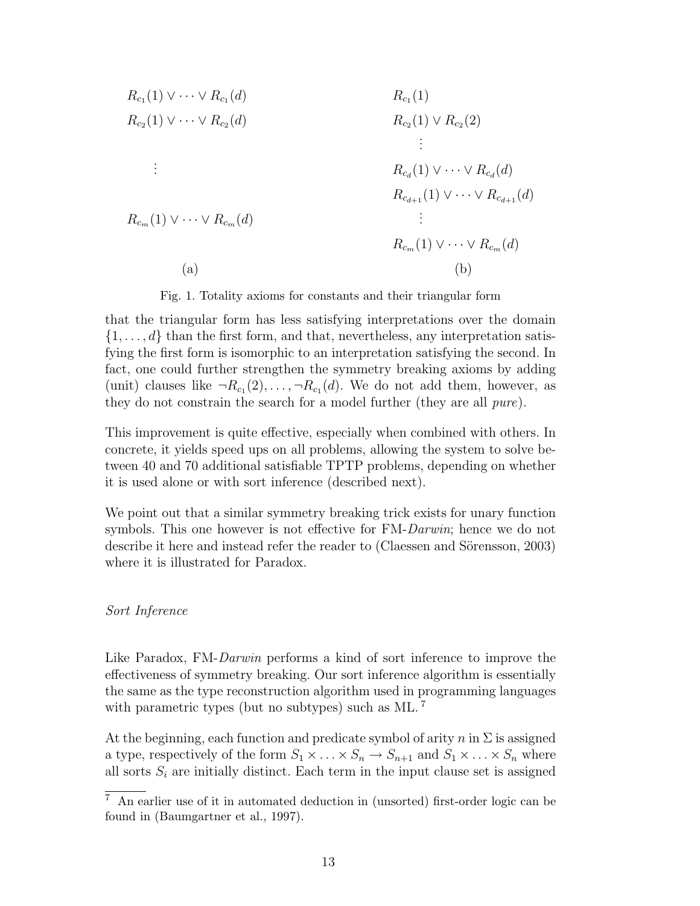$$
R_{c_1}(1) \vee \cdots \vee R_{c_1}(d) \qquad R_{c_1}(1) \vee \cdots \vee R_{c_2}(d) \qquad R_{c_2}(1) \vee R_{c_2}(2) \qquad \qquad \vdots
$$
  
\n
$$
\vdots \qquad R_{c_d}(1) \vee \cdots \vee R_{c_d}(d) \qquad \qquad \vdots
$$
  
\n
$$
R_{c_{d+1}}(1) \vee \cdots \vee R_{c_{d+1}}(d) \qquad \qquad \vdots
$$
  
\n
$$
R_{c_{m}}(1) \vee \cdots \vee R_{c_{m}}(d) \qquad \qquad \vdots
$$
  
\n(a) (b)

Fig. 1. Totality axioms for constants and their triangular form

that the triangular form has less satisfying interpretations over the domain  $\{1,\ldots,d\}$  than the first form, and that, nevertheless, any interpretation satisfying the first form is isomorphic to an interpretation satisfying the second. In fact, one could further strengthen the symmetry breaking axioms by adding (unit) clauses like  $\neg R_{c_1}(2), \ldots, \neg R_{c_1}(d)$ . We do not add them, however, as they do not constrain the search for a model further (they are all pure).

This improvement is quite effective, especially when combined with others. In concrete, it yields speed ups on all problems, allowing the system to solve between 40 and 70 additional satisfiable TPTP problems, depending on whether it is used alone or with sort inference (described next).

We point out that a similar symmetry breaking trick exists for unary function symbols. This one however is not effective for FM-Darwin; hence we do not describe it here and instead refer the reader to (Claessen and Sörensson, 2003) where it is illustrated for Paradox.

#### Sort Inference

Like Paradox, FM-*Darwin* performs a kind of sort inference to improve the effectiveness of symmetry breaking. Our sort inference algorithm is essentially the same as the type reconstruction algorithm used in programming languages with parametric types (but no subtypes) such as ML.<sup>7</sup>

At the beginning, each function and predicate symbol of arity n in  $\Sigma$  is assigned a type, respectively of the form  $S_1 \times \ldots \times S_n \to S_{n+1}$  and  $S_1 \times \ldots \times S_n$  where all sorts  $S_i$  are initially distinct. Each term in the input clause set is assigned

 $\sqrt{7}$  An earlier use of it in automated deduction in (unsorted) first-order logic can be found in (Baumgartner et al., 1997).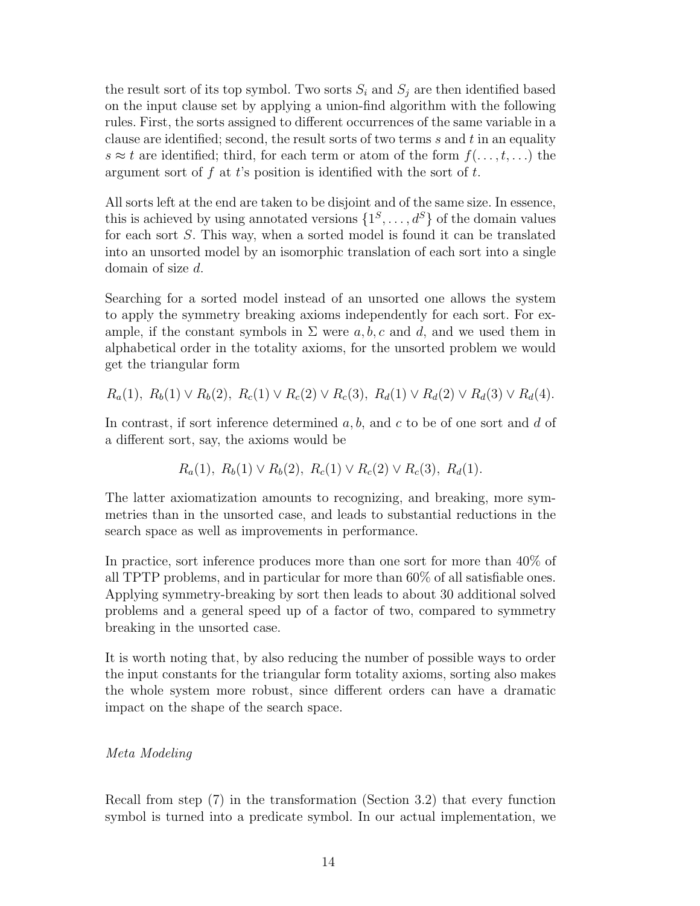the result sort of its top symbol. Two sorts  $S_i$  and  $S_j$  are then identified based on the input clause set by applying a union-find algorithm with the following rules. First, the sorts assigned to different occurrences of the same variable in a clause are identified; second, the result sorts of two terms  $s$  and  $t$  in an equality s  $\approx t$  are identified; third, for each term or atom of the form  $f(\ldots,t,\ldots)$  the argument sort of f at t's position is identified with the sort of  $t$ .

All sorts left at the end are taken to be disjoint and of the same size. In essence, this is achieved by using annotated versions  $\{1^S, \ldots, d^S\}$  of the domain values for each sort S. This way, when a sorted model is found it can be translated into an unsorted model by an isomorphic translation of each sort into a single domain of size d.

Searching for a sorted model instead of an unsorted one allows the system to apply the symmetry breaking axioms independently for each sort. For example, if the constant symbols in  $\Sigma$  were a, b, c and d, and we used them in alphabetical order in the totality axioms, for the unsorted problem we would get the triangular form

 $R_a(1), R_b(1) \vee R_b(2), R_c(1) \vee R_c(2) \vee R_c(3), R_d(1) \vee R_d(2) \vee R_d(3) \vee R_d(4).$ 

In contrast, if sort inference determined  $a, b$ , and c to be of one sort and d of a different sort, say, the axioms would be

$$
R_a(1), R_b(1) \vee R_b(2), R_c(1) \vee R_c(2) \vee R_c(3), R_d(1).
$$

The latter axiomatization amounts to recognizing, and breaking, more symmetries than in the unsorted case, and leads to substantial reductions in the search space as well as improvements in performance.

In practice, sort inference produces more than one sort for more than 40% of all TPTP problems, and in particular for more than 60% of all satisfiable ones. Applying symmetry-breaking by sort then leads to about 30 additional solved problems and a general speed up of a factor of two, compared to symmetry breaking in the unsorted case.

It is worth noting that, by also reducing the number of possible ways to order the input constants for the triangular form totality axioms, sorting also makes the whole system more robust, since different orders can have a dramatic impact on the shape of the search space.

# Meta Modeling

Recall from step (7) in the transformation (Section 3.2) that every function symbol is turned into a predicate symbol. In our actual implementation, we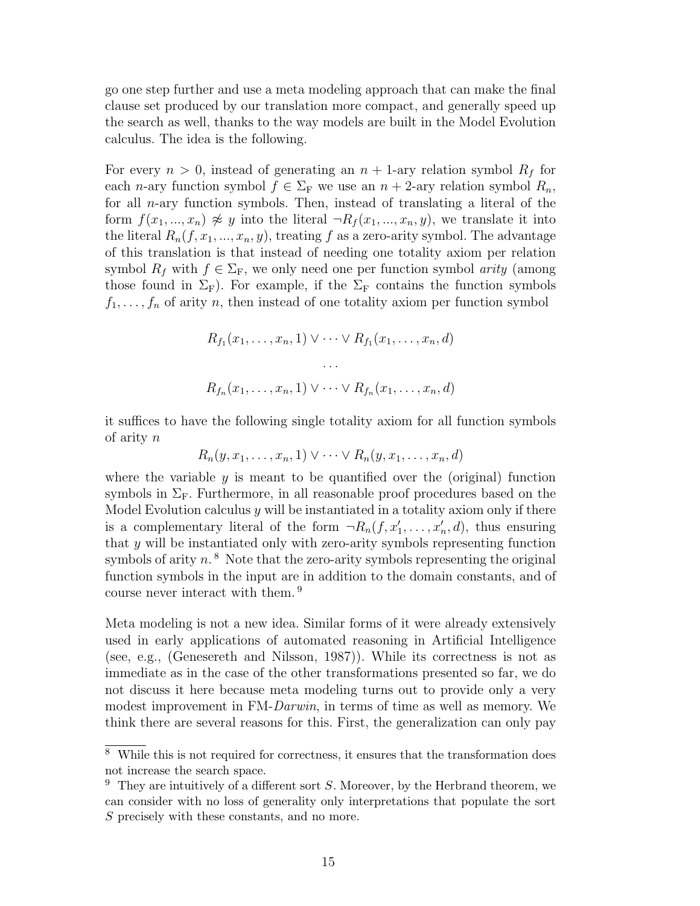go one step further and use a meta modeling approach that can make the final clause set produced by our translation more compact, and generally speed up the search as well, thanks to the way models are built in the Model Evolution calculus. The idea is the following.

For every  $n > 0$ , instead of generating an  $n + 1$ -ary relation symbol  $R_f$  for each *n*-ary function symbol  $f \in \Sigma_F$  we use an  $n + 2$ -ary relation symbol  $R_n$ , for all n-ary function symbols. Then, instead of translating a literal of the form  $f(x_1, ..., x_n) \not\approx y$  into the literal  $\neg R_f(x_1, ..., x_n, y)$ , we translate it into the literal  $R_n(f, x_1, ..., x_n, y)$ , treating f as a zero-arity symbol. The advantage of this translation is that instead of needing one totality axiom per relation symbol  $R_f$  with  $f \in \Sigma_F$ , we only need one per function symbol *arity* (among those found in  $\Sigma_F$ ). For example, if the  $\Sigma_F$  contains the function symbols  $f_1, \ldots, f_n$  of arity n, then instead of one totality axiom per function symbol

$$
R_{f_1}(x_1,\ldots,x_n,1) \vee \cdots \vee R_{f_1}(x_1,\ldots,x_n,d)
$$

$$
\cdots
$$

$$
R_{f_n}(x_1,\ldots,x_n,1) \vee \cdots \vee R_{f_n}(x_1,\ldots,x_n,d)
$$

it suffices to have the following single totality axiom for all function symbols of arity n

$$
R_n(y, x_1, \ldots, x_n, 1) \vee \cdots \vee R_n(y, x_1, \ldots, x_n, d)
$$

where the variable  $y$  is meant to be quantified over the (original) function symbols in  $\Sigma_{\rm F}$ . Furthermore, in all reasonable proof procedures based on the Model Evolution calculus  $y$  will be instantiated in a totality axiom only if there is a complementary literal of the form  $\neg R_n(f, x'_1, \ldots, x'_n, d)$ , thus ensuring that y will be instantiated only with zero-arity symbols representing function symbols of arity  $n<sup>8</sup>$ . Note that the zero-arity symbols representing the original function symbols in the input are in addition to the domain constants, and of course never interact with them. <sup>9</sup>

Meta modeling is not a new idea. Similar forms of it were already extensively used in early applications of automated reasoning in Artificial Intelligence (see, e.g., (Genesereth and Nilsson, 1987)). While its correctness is not as immediate as in the case of the other transformations presented so far, we do not discuss it here because meta modeling turns out to provide only a very modest improvement in FM-Darwin, in terms of time as well as memory. We think there are several reasons for this. First, the generalization can only pay

<sup>8</sup> While this is not required for correctness, it ensures that the transformation does not increase the search space.

 $9$  They are intuitively of a different sort S. Moreover, by the Herbrand theorem, we can consider with no loss of generality only interpretations that populate the sort S precisely with these constants, and no more.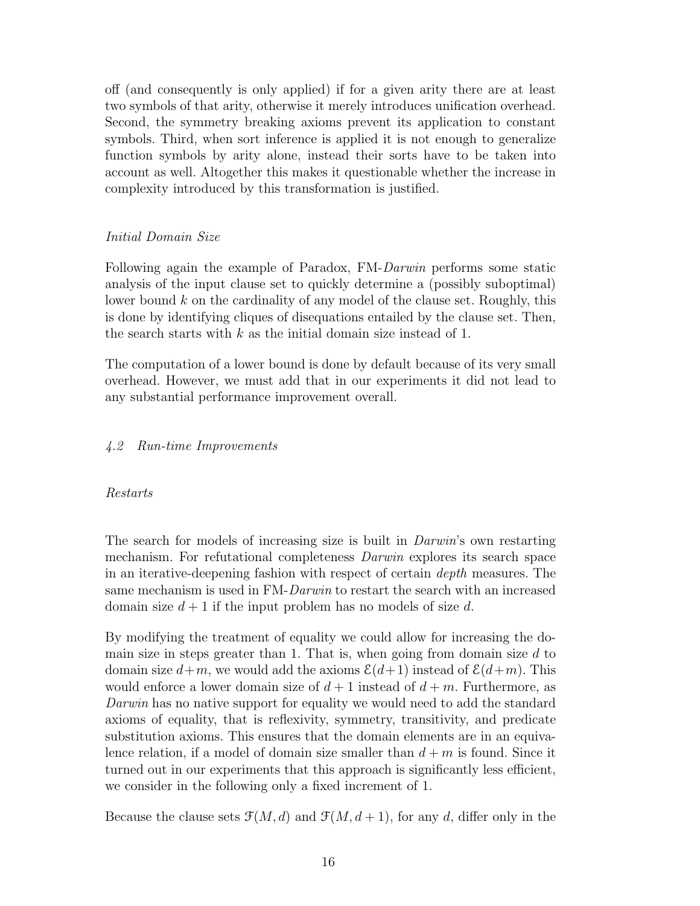off (and consequently is only applied) if for a given arity there are at least two symbols of that arity, otherwise it merely introduces unification overhead. Second, the symmetry breaking axioms prevent its application to constant symbols. Third, when sort inference is applied it is not enough to generalize function symbols by arity alone, instead their sorts have to be taken into account as well. Altogether this makes it questionable whether the increase in complexity introduced by this transformation is justified.

# Initial Domain Size

Following again the example of Paradox, FM-Darwin performs some static analysis of the input clause set to quickly determine a (possibly suboptimal) lower bound  $k$  on the cardinality of any model of the clause set. Roughly, this is done by identifying cliques of disequations entailed by the clause set. Then, the search starts with  $k$  as the initial domain size instead of 1.

The computation of a lower bound is done by default because of its very small overhead. However, we must add that in our experiments it did not lead to any substantial performance improvement overall.

# 4.2 Run-time Improvements

### Restarts

The search for models of increasing size is built in *Darwin*'s own restarting mechanism. For refutational completeness Darwin explores its search space in an iterative-deepening fashion with respect of certain depth measures. The same mechanism is used in FM-Darwin to restart the search with an increased domain size  $d+1$  if the input problem has no models of size d.

By modifying the treatment of equality we could allow for increasing the domain size in steps greater than 1. That is, when going from domain size  $d$  to domain size  $d+m$ , we would add the axioms  $\mathcal{E}(d+1)$  instead of  $\mathcal{E}(d+m)$ . This would enforce a lower domain size of  $d+1$  instead of  $d+m$ . Furthermore, as Darwin has no native support for equality we would need to add the standard axioms of equality, that is reflexivity, symmetry, transitivity, and predicate substitution axioms. This ensures that the domain elements are in an equivalence relation, if a model of domain size smaller than  $d + m$  is found. Since it turned out in our experiments that this approach is significantly less efficient, we consider in the following only a fixed increment of 1.

Because the clause sets  $\mathcal{F}(M, d)$  and  $\mathcal{F}(M, d+1)$ , for any d, differ only in the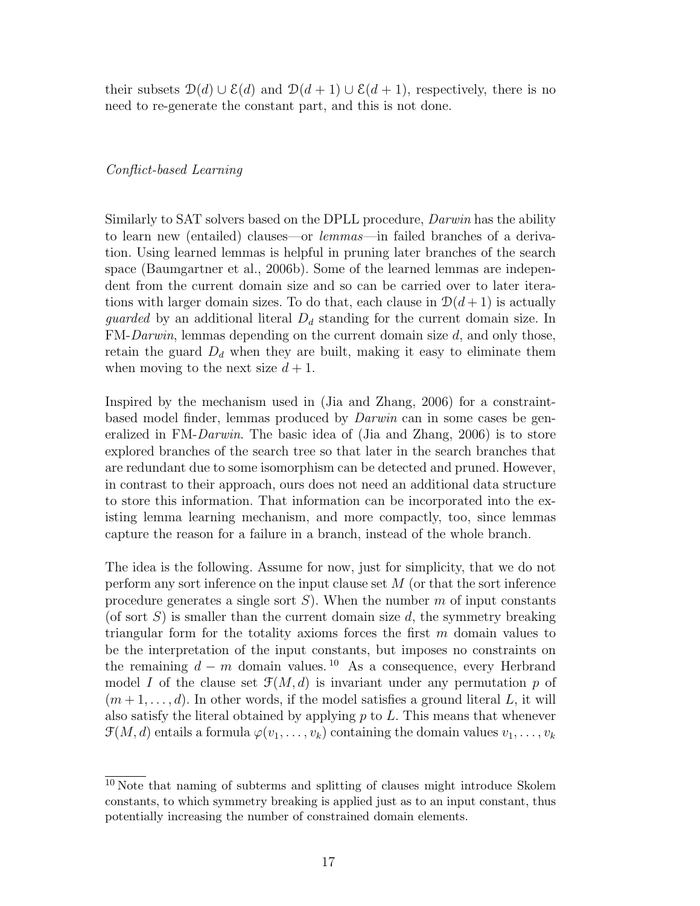their subsets  $\mathcal{D}(d) \cup \mathcal{E}(d)$  and  $\mathcal{D}(d+1) \cup \mathcal{E}(d+1)$ , respectively, there is no need to re-generate the constant part, and this is not done.

#### Conflict-based Learning

Similarly to SAT solvers based on the DPLL procedure, Darwin has the ability to learn new (entailed) clauses—or lemmas—in failed branches of a derivation. Using learned lemmas is helpful in pruning later branches of the search space (Baumgartner et al., 2006b). Some of the learned lemmas are independent from the current domain size and so can be carried over to later iterations with larger domain sizes. To do that, each clause in  $\mathcal{D}(d+1)$  is actually *guarded* by an additional literal  $D_d$  standing for the current domain size. In FM-Darwin, lemmas depending on the current domain size d, and only those, retain the guard  $D_d$  when they are built, making it easy to eliminate them when moving to the next size  $d+1$ .

Inspired by the mechanism used in (Jia and Zhang, 2006) for a constraintbased model finder, lemmas produced by Darwin can in some cases be generalized in FM-Darwin. The basic idea of (Jia and Zhang, 2006) is to store explored branches of the search tree so that later in the search branches that are redundant due to some isomorphism can be detected and pruned. However, in contrast to their approach, ours does not need an additional data structure to store this information. That information can be incorporated into the existing lemma learning mechanism, and more compactly, too, since lemmas capture the reason for a failure in a branch, instead of the whole branch.

The idea is the following. Assume for now, just for simplicity, that we do not perform any sort inference on the input clause set M (or that the sort inference procedure generates a single sort  $S$ ). When the number m of input constants (of sort  $S$ ) is smaller than the current domain size  $d$ , the symmetry breaking triangular form for the totality axioms forces the first  $m$  domain values to be the interpretation of the input constants, but imposes no constraints on the remaining  $d - m$  domain values.<sup>10</sup> As a consequence, every Herbrand model I of the clause set  $\mathcal{F}(M, d)$  is invariant under any permutation p of  $(m+1,\ldots,d)$ . In other words, if the model satisfies a ground literal L, it will also satisfy the literal obtained by applying  $p$  to  $L$ . This means that whenever  $\mathcal{F}(M, d)$  entails a formula  $\varphi(v_1, \ldots, v_k)$  containing the domain values  $v_1, \ldots, v_k$ 

<sup>10</sup> Note that naming of subterms and splitting of clauses might introduce Skolem constants, to which symmetry breaking is applied just as to an input constant, thus potentially increasing the number of constrained domain elements.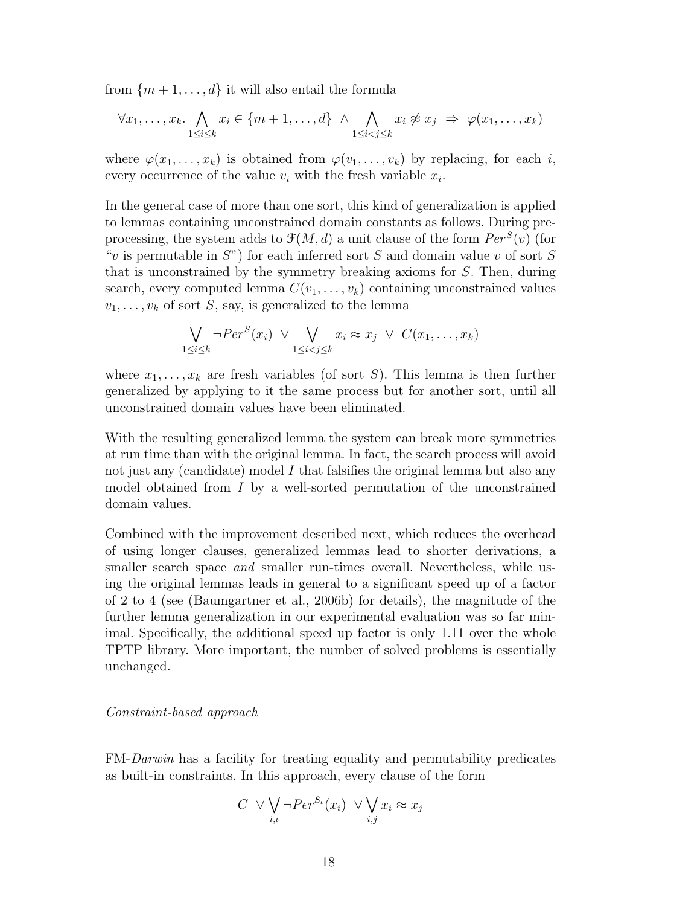from  $\{m+1,\ldots,d\}$  it will also entail the formula

$$
\forall x_1, \ldots, x_k. \bigwedge_{1 \leq i \leq k} x_i \in \{m+1, \ldots, d\} \land \bigwedge_{1 \leq i < j \leq k} x_i \not\approx x_j \Rightarrow \varphi(x_1, \ldots, x_k)
$$

where  $\varphi(x_1,\ldots,x_k)$  is obtained from  $\varphi(v_1,\ldots,v_k)$  by replacing, for each i, every occurrence of the value  $v_i$  with the fresh variable  $x_i$ .

In the general case of more than one sort, this kind of generalization is applied to lemmas containing unconstrained domain constants as follows. During preprocessing, the system adds to  $\mathcal{F}(M, d)$  a unit clause of the form  $Per^S(v)$  (for "v is permutable in  $S$ ") for each inferred sort S and domain value v of sort S that is unconstrained by the symmetry breaking axioms for S. Then, during search, every computed lemma  $C(v_1, \ldots, v_k)$  containing unconstrained values  $v_1, \ldots, v_k$  of sort S, say, is generalized to the lemma

$$
\bigvee_{1 \leq i \leq k} \neg Per^S(x_i) \vee \bigvee_{1 \leq i < j \leq k} x_i \approx x_j \vee C(x_1, \dots, x_k)
$$

where  $x_1, \ldots, x_k$  are fresh variables (of sort S). This lemma is then further generalized by applying to it the same process but for another sort, until all unconstrained domain values have been eliminated.

With the resulting generalized lemma the system can break more symmetries at run time than with the original lemma. In fact, the search process will avoid not just any (candidate) model I that falsifies the original lemma but also any model obtained from  $I$  by a well-sorted permutation of the unconstrained domain values.

Combined with the improvement described next, which reduces the overhead of using longer clauses, generalized lemmas lead to shorter derivations, a smaller search space *and* smaller run-times overall. Nevertheless, while using the original lemmas leads in general to a significant speed up of a factor of 2 to 4 (see (Baumgartner et al., 2006b) for details), the magnitude of the further lemma generalization in our experimental evaluation was so far minimal. Specifically, the additional speed up factor is only 1.11 over the whole TPTP library. More important, the number of solved problems is essentially unchanged.

#### Constraint-based approach

FM-Darwin has a facility for treating equality and permutability predicates as built-in constraints. In this approach, every clause of the form

$$
C \vee \bigvee_{i,\iota} \neg Per^{S_{\iota}}(x_i) \vee \bigvee_{i,j} x_i \approx x_j
$$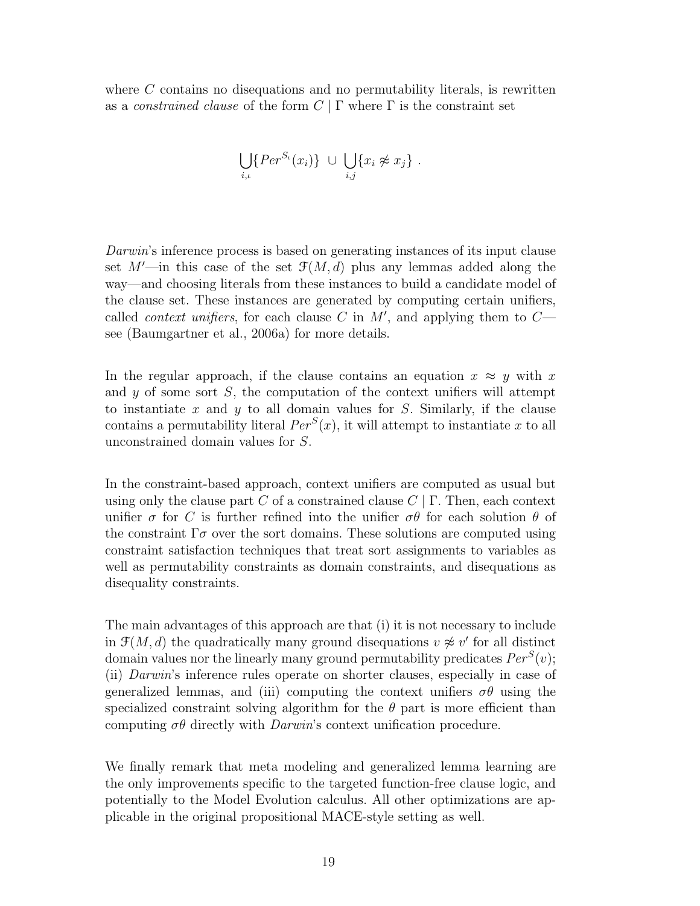where  $C$  contains no disequations and no permutability literals, is rewritten as a *constrained clause* of the form  $C | \Gamma$  where  $\Gamma$  is the constraint set

$$
\bigcup_{i,\iota} \{Per^{S_{\iota}}(x_i)\} \ \cup \ \bigcup_{i,j} \{x_i \not\approx x_j\} \ .
$$

Darwin's inference process is based on generating instances of its input clause set  $M'$ —in this case of the set  $\mathcal{F}(M, d)$  plus any lemmas added along the way—and choosing literals from these instances to build a candidate model of the clause set. These instances are generated by computing certain unifiers, called *context unifiers*, for each clause C in  $M'$ , and applying them to  $C$ see (Baumgartner et al., 2006a) for more details.

In the regular approach, if the clause contains an equation  $x \approx y$  with x and  $y$  of some sort  $S$ , the computation of the context unifiers will attempt to instantiate  $x$  and  $y$  to all domain values for  $S$ . Similarly, if the clause contains a permutability literal  $Per^S(x)$ , it will attempt to instantiate x to all unconstrained domain values for S.

In the constraint-based approach, context unifiers are computed as usual but using only the clause part C of a constrained clause  $C | \Gamma$ . Then, each context unifier  $\sigma$  for C is further refined into the unifier  $\sigma\theta$  for each solution  $\theta$  of the constraint  $\Gamma \sigma$  over the sort domains. These solutions are computed using constraint satisfaction techniques that treat sort assignments to variables as well as permutability constraints as domain constraints, and disequations as disequality constraints.

The main advantages of this approach are that (i) it is not necessary to include in  $\mathcal{F}(M, d)$  the quadratically many ground disequations  $v \not\approx v'$  for all distinct domain values nor the linearly many ground permutability predicates  $Per^S(v)$ ; (ii) Darwin's inference rules operate on shorter clauses, especially in case of generalized lemmas, and (iii) computing the context unifiers  $\sigma\theta$  using the specialized constraint solving algorithm for the  $\theta$  part is more efficient than computing  $\sigma\theta$  directly with *Darwin*'s context unification procedure.

We finally remark that meta modeling and generalized lemma learning are the only improvements specific to the targeted function-free clause logic, and potentially to the Model Evolution calculus. All other optimizations are applicable in the original propositional MACE-style setting as well.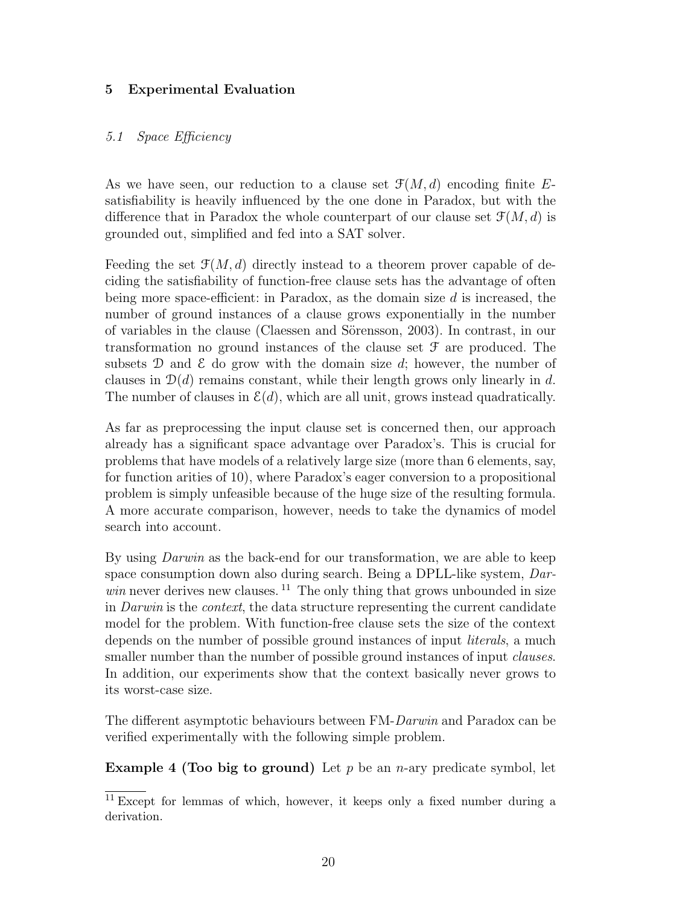# 5 Experimental Evaluation

#### 5.1 Space Efficiency

As we have seen, our reduction to a clause set  $\mathcal{F}(M, d)$  encoding finite Esatisfiability is heavily influenced by the one done in Paradox, but with the difference that in Paradox the whole counterpart of our clause set  $\mathcal{F}(M, d)$  is grounded out, simplified and fed into a SAT solver.

Feeding the set  $\mathfrak{F}(M, d)$  directly instead to a theorem prover capable of deciding the satisfiability of function-free clause sets has the advantage of often being more space-efficient: in Paradox, as the domain size  $d$  is increased, the number of ground instances of a clause grows exponentially in the number of variables in the clause (Claessen and S¨orensson, 2003). In contrast, in our transformation no ground instances of the clause set F are produced. The subsets D and  $\mathcal E$  do grow with the domain size d; however, the number of clauses in  $\mathcal{D}(d)$  remains constant, while their length grows only linearly in d. The number of clauses in  $\mathcal{E}(d)$ , which are all unit, grows instead quadratically.

As far as preprocessing the input clause set is concerned then, our approach already has a significant space advantage over Paradox's. This is crucial for problems that have models of a relatively large size (more than 6 elements, say, for function arities of 10), where Paradox's eager conversion to a propositional problem is simply unfeasible because of the huge size of the resulting formula. A more accurate comparison, however, needs to take the dynamics of model search into account.

By using *Darwin* as the back-end for our transformation, we are able to keep space consumption down also during search. Being a DPLL-like system, Dar $win$  never derives new clauses.<sup>11</sup> The only thing that grows unbounded in size in Darwin is the context, the data structure representing the current candidate model for the problem. With function-free clause sets the size of the context depends on the number of possible ground instances of input *literals*, a much smaller number than the number of possible ground instances of input *clauses*. In addition, our experiments show that the context basically never grows to its worst-case size.

The different asymptotic behaviours between FM-Darwin and Paradox can be verified experimentally with the following simple problem.

**Example 4 (Too big to ground)** Let p be an n-ary predicate symbol, let

 $11$  Except for lemmas of which, however, it keeps only a fixed number during a derivation.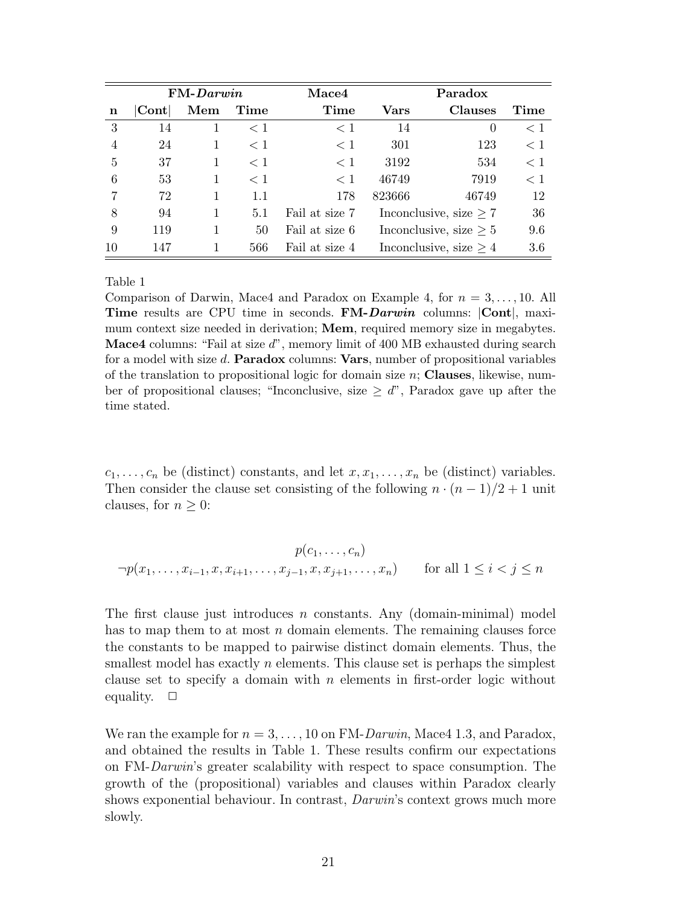|    | $FM-Darwin$     |     |         | <b>Mace4</b>   |        | Paradox                     |       |  |
|----|-----------------|-----|---------|----------------|--------|-----------------------------|-------|--|
| n  | $\mathrm{Cont}$ | Mem | Time    | Time           | Vars   | Clauses                     | Time  |  |
| 3  | 14              | 1   | $\lt 1$ | $<$ 1          | 14     | $\Omega$                    | $<$ 1 |  |
| 4  | 24              | 1   | $<$ 1   | $<$ 1          | 301    | 123                         | $<$ 1 |  |
| 5  | 37              | 1   | $\lt 1$ | $\lt 1$        | 3192   | 534                         | $<$ 1 |  |
| 6  | 53              |     | $<$ 1   | $<$ 1          | 46749  | 7919                        | < 1   |  |
|    | 72              | 1   | 1.1     | 178            | 823666 | 46749                       | 12    |  |
| 8  | 94              | 1   | 5.1     | Fail at size 7 |        | Inconclusive, size $\geq 7$ | 36    |  |
| 9  | 119             | 1   | 50      | Fail at size 6 |        | Inconclusive, size $\geq 5$ | 9.6   |  |
| 10 | 147             |     | 566     | Fail at size 4 |        | Inconclusive, size $\geq 4$ | 3.6   |  |

Table 1

Comparison of Darwin, Mace4 and Paradox on Example 4, for  $n = 3, \ldots, 10$ . All Time results are CPU time in seconds. FM-Darwin columns: Cont, maximum context size needed in derivation; **Mem**, required memory size in megabytes. Mace4 columns: "Fail at size d", memory limit of 400 MB exhausted during search for a model with size d. **Paradox** columns: **Vars**, number of propositional variables of the translation to propositional logic for domain size  $n$ ; **Clauses**, likewise, number of propositional clauses; "Inconclusive, size  $\geq d$ ", Paradox gave up after the time stated.

 $c_1, \ldots, c_n$  be (distinct) constants, and let  $x, x_1, \ldots, x_n$  be (distinct) variables. Then consider the clause set consisting of the following  $n \cdot (n-1)/2 + 1$  unit clauses, for  $n \geq 0$ :

$$
p(c_1, ..., c_n)
$$
  
\n
$$
\neg p(x_1, ..., x_{i-1}, x, x_{i+1}, ..., x_{j-1}, x, x_{j+1}, ..., x_n)
$$
 for all  $1 \le i < j \le n$ 

The first clause just introduces n constants. Any (domain-minimal) model has to map them to at most  $n$  domain elements. The remaining clauses force the constants to be mapped to pairwise distinct domain elements. Thus, the smallest model has exactly  $n$  elements. This clause set is perhaps the simplest clause set to specify a domain with  $n$  elements in first-order logic without equality.  $\square$ 

We ran the example for  $n = 3, \ldots, 10$  on FM-Darwin, Mace 41.3, and Paradox, and obtained the results in Table 1. These results confirm our expectations on FM-Darwin's greater scalability with respect to space consumption. The growth of the (propositional) variables and clauses within Paradox clearly shows exponential behaviour. In contrast, *Darwin's* context grows much more slowly.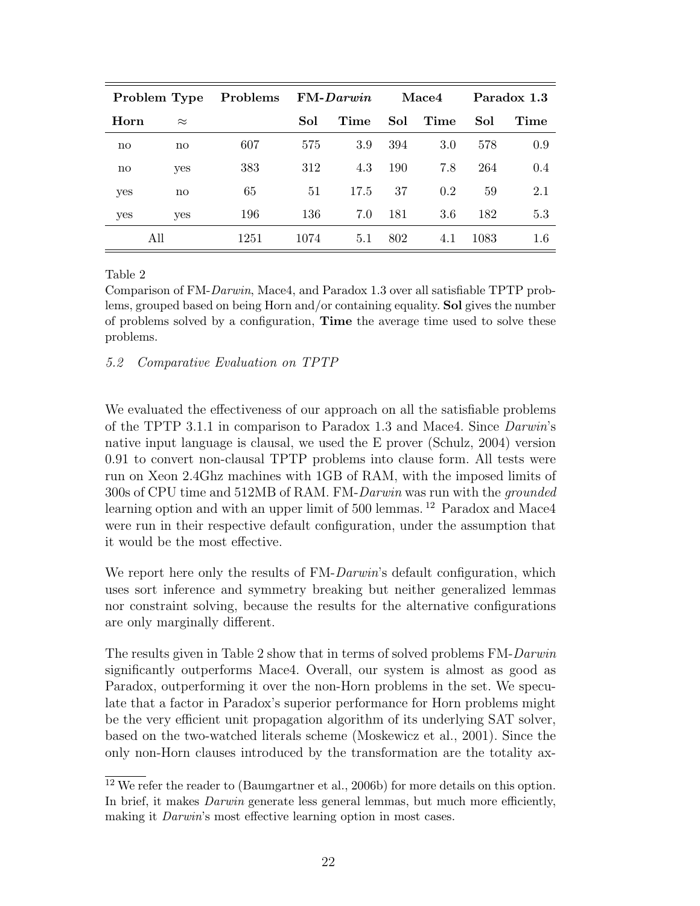| Problem Type           |           | Problems | $FM\text{-}Darwin$ |      | Mace4 |      | Paradox 1.3 |      |
|------------------------|-----------|----------|--------------------|------|-------|------|-------------|------|
| Horn                   | $\approx$ |          | Sol                | Time | Sol   | Time | Sol         | Time |
| $\mathbf{n}\mathbf{o}$ | no        | 607      | 575                | 3.9  | 394   | 3.0  | 578         | 0.9  |
| no                     | yes       | 383      | 312                | 4.3  | 190   | 7.8  | 264         | 0.4  |
| yes                    | no        | 65       | 51                 | 17.5 | 37    | 0.2  | 59          | 2.1  |
| yes                    | yes       | 196      | 136                | 7.0  | 181   | 3.6  | 182         | 5.3  |
|                        | All       | 1251     | 1074               | 5.1  | 802   | 4.1  | 1083        | 1.6  |

Table 2

Comparison of FM-Darwin, Mace4, and Paradox 1.3 over all satisfiable TPTP problems, grouped based on being Horn and/or containing equality. Sol gives the number of problems solved by a configuration, Time the average time used to solve these problems.

5.2 Comparative Evaluation on TPTP

We evaluated the effectiveness of our approach on all the satisfiable problems of the TPTP 3.1.1 in comparison to Paradox 1.3 and Mace4. Since Darwin's native input language is clausal, we used the E prover (Schulz, 2004) version 0.91 to convert non-clausal TPTP problems into clause form. All tests were run on Xeon 2.4Ghz machines with 1GB of RAM, with the imposed limits of 300s of CPU time and 512MB of RAM. FM-Darwin was run with the grounded learning option and with an upper limit of 500 lemmas.<sup>12</sup> Paradox and Mace4 were run in their respective default configuration, under the assumption that it would be the most effective.

We report here only the results of FM-Darwin's default configuration, which uses sort inference and symmetry breaking but neither generalized lemmas nor constraint solving, because the results for the alternative configurations are only marginally different.

The results given in Table 2 show that in terms of solved problems FM-Darwin significantly outperforms Mace4. Overall, our system is almost as good as Paradox, outperforming it over the non-Horn problems in the set. We speculate that a factor in Paradox's superior performance for Horn problems might be the very efficient unit propagation algorithm of its underlying SAT solver, based on the two-watched literals scheme (Moskewicz et al., 2001). Since the only non-Horn clauses introduced by the transformation are the totality ax-

<sup>12</sup> We refer the reader to (Baumgartner et al., 2006b) for more details on this option. In brief, it makes Darwin generate less general lemmas, but much more efficiently, making it *Darwin's* most effective learning option in most cases.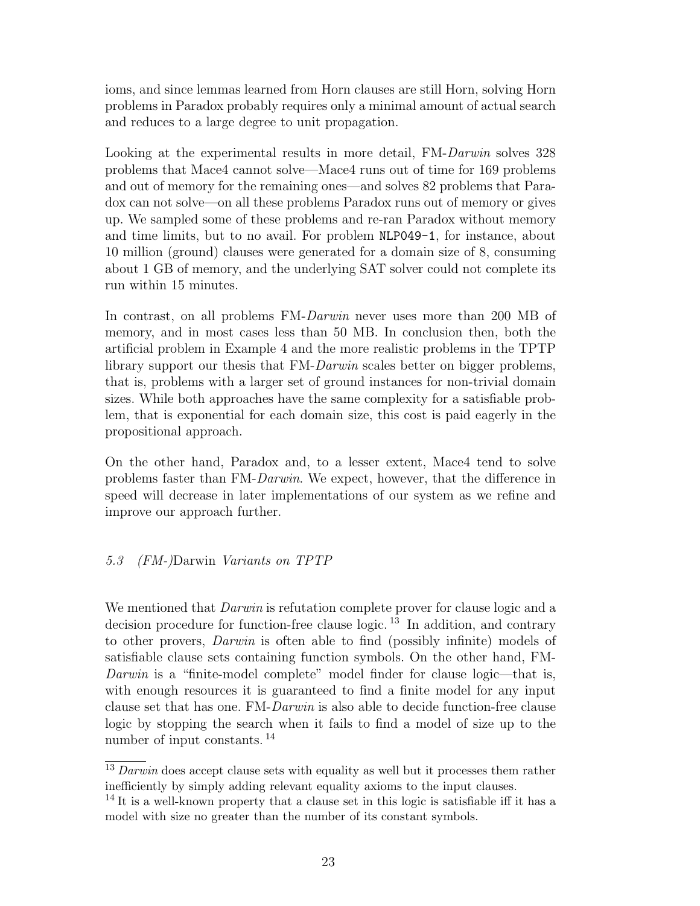ioms, and since lemmas learned from Horn clauses are still Horn, solving Horn problems in Paradox probably requires only a minimal amount of actual search and reduces to a large degree to unit propagation.

Looking at the experimental results in more detail, FM-Darwin solves 328 problems that Mace4 cannot solve—Mace4 runs out of time for 169 problems and out of memory for the remaining ones—and solves 82 problems that Paradox can not solve—on all these problems Paradox runs out of memory or gives up. We sampled some of these problems and re-ran Paradox without memory and time limits, but to no avail. For problem NLP049-1, for instance, about 10 million (ground) clauses were generated for a domain size of 8, consuming about 1 GB of memory, and the underlying SAT solver could not complete its run within 15 minutes.

In contrast, on all problems FM-*Darwin* never uses more than 200 MB of memory, and in most cases less than 50 MB. In conclusion then, both the artificial problem in Example 4 and the more realistic problems in the TPTP library support our thesis that FM-Darwin scales better on bigger problems, that is, problems with a larger set of ground instances for non-trivial domain sizes. While both approaches have the same complexity for a satisfiable problem, that is exponential for each domain size, this cost is paid eagerly in the propositional approach.

On the other hand, Paradox and, to a lesser extent, Mace4 tend to solve problems faster than FM-Darwin. We expect, however, that the difference in speed will decrease in later implementations of our system as we refine and improve our approach further.

# 5.3 (FM-)Darwin Variants on TPTP

We mentioned that *Darwin* is refutation complete prover for clause logic and a decision procedure for function-free clause logic.<sup>13</sup> In addition, and contrary to other provers, Darwin is often able to find (possibly infinite) models of satisfiable clause sets containing function symbols. On the other hand, FM-Darwin is a "finite-model complete" model finder for clause logic—that is, with enough resources it is guaranteed to find a finite model for any input clause set that has one. FM-Darwin is also able to decide function-free clause logic by stopping the search when it fails to find a model of size up to the number of input constants. <sup>14</sup>

 $13$  Darwin does accept clause sets with equality as well but it processes them rather inefficiently by simply adding relevant equality axioms to the input clauses.

<sup>&</sup>lt;sup>14</sup> It is a well-known property that a clause set in this logic is satisfiable iff it has a model with size no greater than the number of its constant symbols.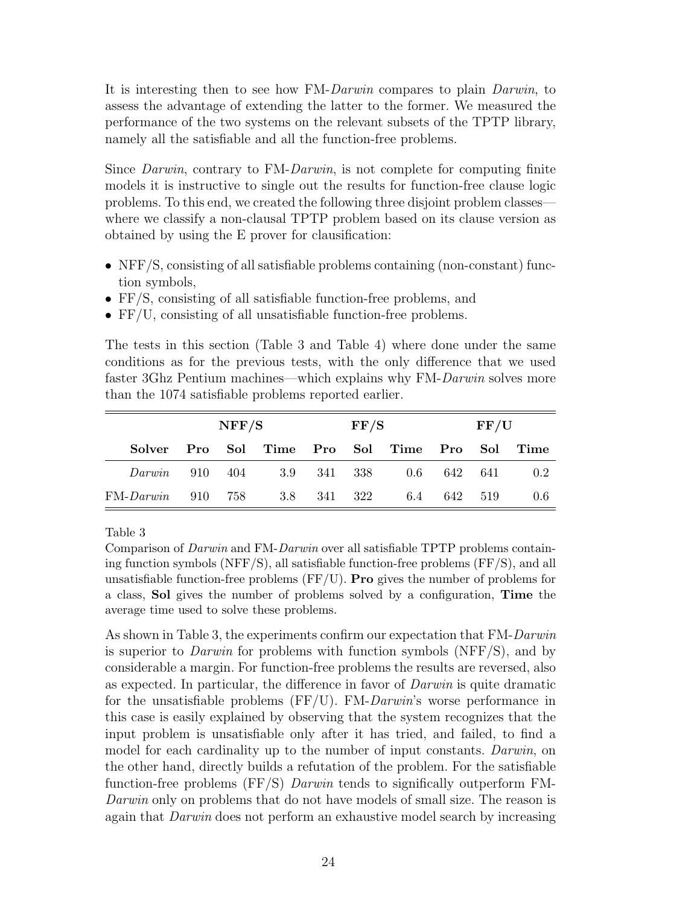It is interesting then to see how FM-Darwin compares to plain Darwin, to assess the advantage of extending the latter to the former. We measured the performance of the two systems on the relevant subsets of the TPTP library, namely all the satisfiable and all the function-free problems.

Since *Darwin*, contrary to FM-*Darwin*, is not complete for computing finite models it is instructive to single out the results for function-free clause logic problems. To this end, we created the following three disjoint problem classes where we classify a non-clausal TPTP problem based on its clause version as obtained by using the E prover for clausification:

- NFF/S, consisting of all satisfiable problems containing (non-constant) function symbols,
- FF/S, consisting of all satisfiable function-free problems, and
- FF/U, consisting of all unsatisfiable function-free problems.

The tests in this section (Table 3 and Table 4) where done under the same conditions as for the previous tests, with the only difference that we used faster 3Ghz Pentium machines—which explains why FM-Darwin solves more than the 1074 satisfiable problems reported earlier.

|                            | NFF/S |  |             | $\rm FF/S$ |  |                                   | $\rm FF/U$        |  |      |
|----------------------------|-------|--|-------------|------------|--|-----------------------------------|-------------------|--|------|
| Solver                     |       |  |             |            |  | Pro Sol Time Pro Sol Time Pro Sol |                   |  | Time |
| Darwin 910 404 3.9 341 338 |       |  |             |            |  |                                   | $0.6$ $642$ $641$ |  | 0.2  |
| $FM-Darwin$ 910 758        |       |  | 3.8 341 322 |            |  | 6.4                               | 642 519           |  | 0.6  |

Table 3

Comparison of Darwin and FM-Darwin over all satisfiable TPTP problems containing function symbols (NFF/S), all satisfiable function-free problems (FF/S), and all unsatisfiable function-free problems  $(FF/U)$ . **Pro** gives the number of problems for a class, Sol gives the number of problems solved by a configuration, Time the average time used to solve these problems.

As shown in Table 3, the experiments confirm our expectation that FM-Darwin is superior to *Darwin* for problems with function symbols (NFF $/S$ ), and by considerable a margin. For function-free problems the results are reversed, also as expected. In particular, the difference in favor of Darwin is quite dramatic for the unsatisfiable problems  $(FF/U)$ . FM-Darwin's worse performance in this case is easily explained by observing that the system recognizes that the input problem is unsatisfiable only after it has tried, and failed, to find a model for each cardinality up to the number of input constants. Darwin, on the other hand, directly builds a refutation of the problem. For the satisfiable function-free problems (FF/S) Darwin tends to significally outperform FM-Darwin only on problems that do not have models of small size. The reason is again that Darwin does not perform an exhaustive model search by increasing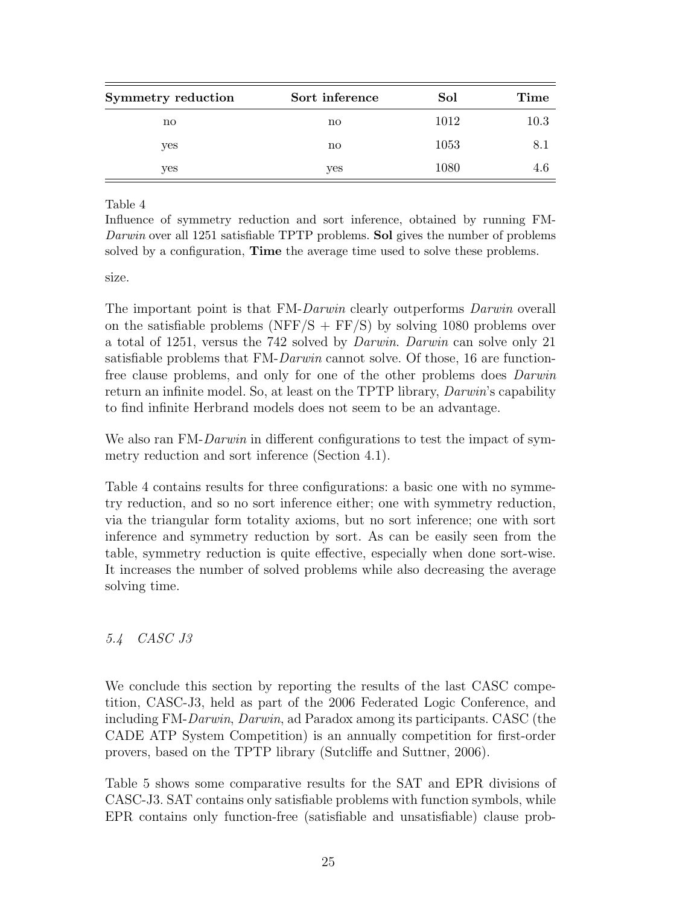| Symmetry reduction | Sort inference | Sol  | Time |  |
|--------------------|----------------|------|------|--|
| no                 | $\mathbf{no}$  | 1012 | 10.3 |  |
| yes                | $\mathbf{no}$  | 1053 |      |  |
| yes                | yes            | 1080 |      |  |

Table 4

Influence of symmetry reduction and sort inference, obtained by running FM-Darwin over all 1251 satisfiable TPTP problems. Sol gives the number of problems solved by a configuration, Time the average time used to solve these problems.

size.

The important point is that FM-Darwin clearly outperforms Darwin overall on the satisfiable problems (NFF/S + FF/S) by solving 1080 problems over a total of 1251, versus the 742 solved by Darwin. Darwin can solve only 21 satisfiable problems that FM-Darwin cannot solve. Of those, 16 are functionfree clause problems, and only for one of the other problems does Darwin return an infinite model. So, at least on the TPTP library, Darwin's capability to find infinite Herbrand models does not seem to be an advantage.

We also ran FM-Darwin in different configurations to test the impact of symmetry reduction and sort inference (Section 4.1).

Table 4 contains results for three configurations: a basic one with no symmetry reduction, and so no sort inference either; one with symmetry reduction, via the triangular form totality axioms, but no sort inference; one with sort inference and symmetry reduction by sort. As can be easily seen from the table, symmetry reduction is quite effective, especially when done sort-wise. It increases the number of solved problems while also decreasing the average solving time.

# 5.4 CASC J3

We conclude this section by reporting the results of the last CASC competition, CASC-J3, held as part of the 2006 Federated Logic Conference, and including FM-Darwin, Darwin, ad Paradox among its participants. CASC (the CADE ATP System Competition) is an annually competition for first-order provers, based on the TPTP library (Sutcliffe and Suttner, 2006).

Table 5 shows some comparative results for the SAT and EPR divisions of CASC-J3. SAT contains only satisfiable problems with function symbols, while EPR contains only function-free (satisfiable and unsatisfiable) clause prob-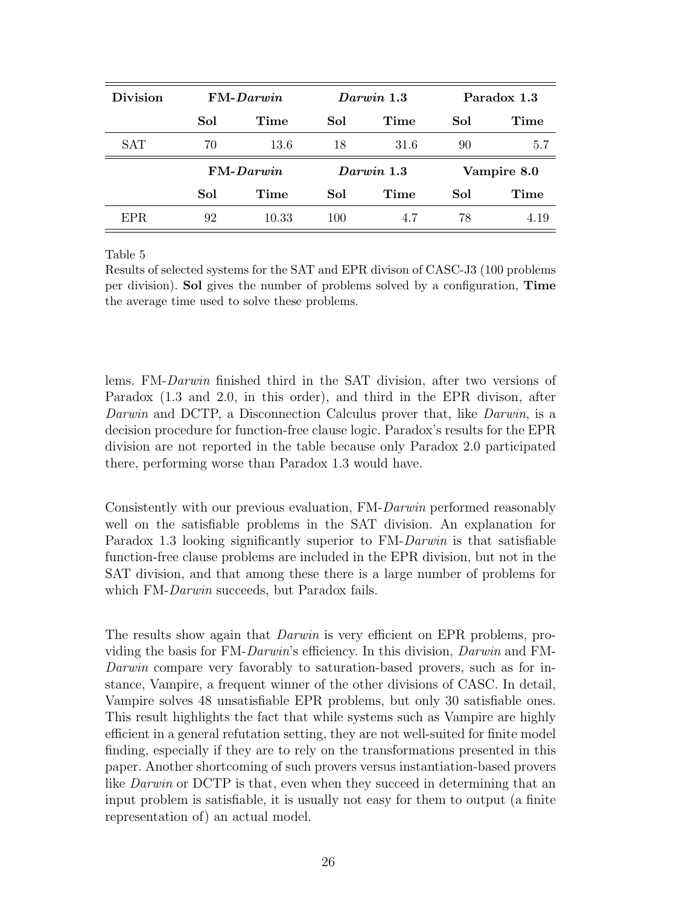| <b>Division</b> | $FM-Darwin$ |                     |              | Darwin 1.3 | Paradox 1.3 |      |  |
|-----------------|-------------|---------------------|--------------|------------|-------------|------|--|
|                 | Sol         | Time<br>Time<br>Sol |              |            | Sol         | Time |  |
| <b>SAT</b>      | 70          | 13.6                | 18           | 31.6       | 90          | 5.7  |  |
|                 | $FM-Darwin$ |                     | $Darwin$ 1.3 |            | Vampire 8.0 |      |  |
|                 | Sol         | Time                | Sol          | Time       | Sol         | Time |  |
| EPR.            | 92          | 10.33               | 100          | 4.7        | 78          | 4.19 |  |

Table 5

Results of selected systems for the SAT and EPR divison of CASC-J3 (100 problems per division). Sol gives the number of problems solved by a configuration, Time the average time used to solve these problems.

lems. FM-Darwin finished third in the SAT division, after two versions of Paradox (1.3 and 2.0, in this order), and third in the EPR divison, after Darwin and DCTP, a Disconnection Calculus prover that, like Darwin, is a decision procedure for function-free clause logic. Paradox's results for the EPR division are not reported in the table because only Paradox 2.0 participated there, performing worse than Paradox 1.3 would have.

Consistently with our previous evaluation, FM-Darwin performed reasonably well on the satisfiable problems in the SAT division. An explanation for Paradox 1.3 looking significantly superior to FM-Darwin is that satisfiable function-free clause problems are included in the EPR division, but not in the SAT division, and that among these there is a large number of problems for which FM-*Darwin* succeeds, but Paradox fails.

The results show again that *Darwin* is very efficient on EPR problems, providing the basis for FM-Darwin's efficiency. In this division, Darwin and FM-Darwin compare very favorably to saturation-based provers, such as for instance, Vampire, a frequent winner of the other divisions of CASC. In detail, Vampire solves 48 unsatisfiable EPR problems, but only 30 satisfiable ones. This result highlights the fact that while systems such as Vampire are highly efficient in a general refutation setting, they are not well-suited for finite model finding, especially if they are to rely on the transformations presented in this paper. Another shortcoming of such provers versus instantiation-based provers like *Darwin* or DCTP is that, even when they succeed in determining that an input problem is satisfiable, it is usually not easy for them to output (a finite representation of) an actual model.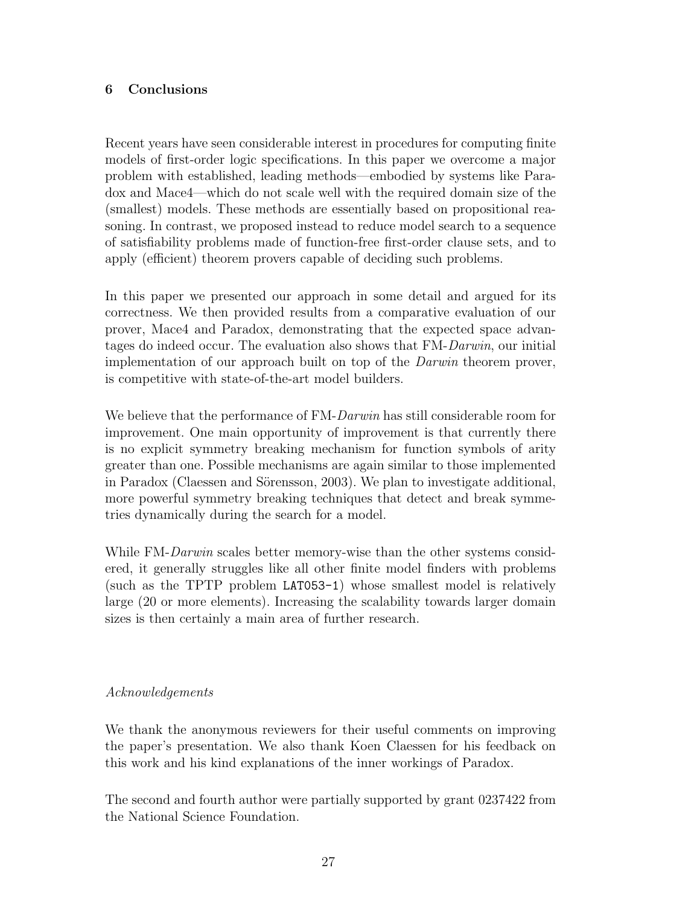# 6 Conclusions

Recent years have seen considerable interest in procedures for computing finite models of first-order logic specifications. In this paper we overcome a major problem with established, leading methods—embodied by systems like Paradox and Mace4—which do not scale well with the required domain size of the (smallest) models. These methods are essentially based on propositional reasoning. In contrast, we proposed instead to reduce model search to a sequence of satisfiability problems made of function-free first-order clause sets, and to apply (efficient) theorem provers capable of deciding such problems.

In this paper we presented our approach in some detail and argued for its correctness. We then provided results from a comparative evaluation of our prover, Mace4 and Paradox, demonstrating that the expected space advantages do indeed occur. The evaluation also shows that FM-Darwin, our initial implementation of our approach built on top of the Darwin theorem prover, is competitive with state-of-the-art model builders.

We believe that the performance of FM-Darwin has still considerable room for improvement. One main opportunity of improvement is that currently there is no explicit symmetry breaking mechanism for function symbols of arity greater than one. Possible mechanisms are again similar to those implemented in Paradox (Claessen and Sörensson, 2003). We plan to investigate additional, more powerful symmetry breaking techniques that detect and break symmetries dynamically during the search for a model.

While FM-Darwin scales better memory-wise than the other systems considered, it generally struggles like all other finite model finders with problems (such as the TPTP problem LAT053-1) whose smallest model is relatively large (20 or more elements). Increasing the scalability towards larger domain sizes is then certainly a main area of further research.

# Acknowledgements

We thank the anonymous reviewers for their useful comments on improving the paper's presentation. We also thank Koen Claessen for his feedback on this work and his kind explanations of the inner workings of Paradox.

The second and fourth author were partially supported by grant 0237422 from the National Science Foundation.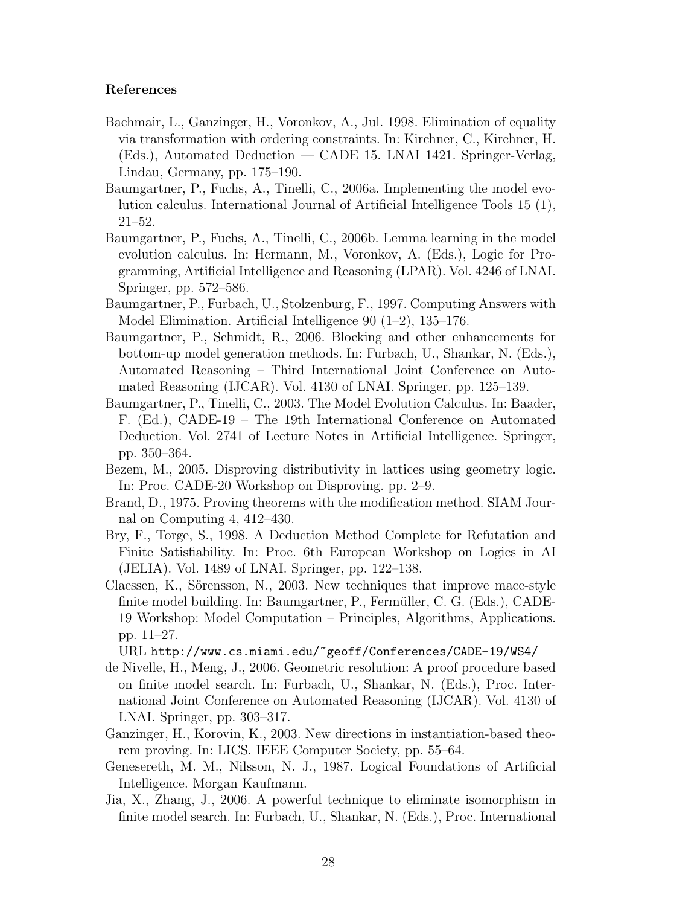### References

- Bachmair, L., Ganzinger, H., Voronkov, A., Jul. 1998. Elimination of equality via transformation with ordering constraints. In: Kirchner, C., Kirchner, H. (Eds.), Automated Deduction — CADE 15. LNAI 1421. Springer-Verlag, Lindau, Germany, pp. 175–190.
- Baumgartner, P., Fuchs, A., Tinelli, C., 2006a. Implementing the model evolution calculus. International Journal of Artificial Intelligence Tools 15 (1), 21–52.
- Baumgartner, P., Fuchs, A., Tinelli, C., 2006b. Lemma learning in the model evolution calculus. In: Hermann, M., Voronkov, A. (Eds.), Logic for Programming, Artificial Intelligence and Reasoning (LPAR). Vol. 4246 of LNAI. Springer, pp. 572–586.
- Baumgartner, P., Furbach, U., Stolzenburg, F., 1997. Computing Answers with Model Elimination. Artificial Intelligence 90 (1–2), 135–176.
- Baumgartner, P., Schmidt, R., 2006. Blocking and other enhancements for bottom-up model generation methods. In: Furbach, U., Shankar, N. (Eds.), Automated Reasoning – Third International Joint Conference on Automated Reasoning (IJCAR). Vol. 4130 of LNAI. Springer, pp. 125–139.
- Baumgartner, P., Tinelli, C., 2003. The Model Evolution Calculus. In: Baader, F. (Ed.), CADE-19 – The 19th International Conference on Automated Deduction. Vol. 2741 of Lecture Notes in Artificial Intelligence. Springer, pp. 350–364.
- Bezem, M., 2005. Disproving distributivity in lattices using geometry logic. In: Proc. CADE-20 Workshop on Disproving. pp. 2–9.
- Brand, D., 1975. Proving theorems with the modification method. SIAM Journal on Computing 4, 412–430.
- Bry, F., Torge, S., 1998. A Deduction Method Complete for Refutation and Finite Satisfiability. In: Proc. 6th European Workshop on Logics in AI (JELIA). Vol. 1489 of LNAI. Springer, pp. 122–138.
- Claessen, K., Sörensson, N., 2003. New techniques that improve mace-style finite model building. In: Baumgartner, P., Fermüller, C. G. (Eds.), CADE-19 Workshop: Model Computation – Principles, Algorithms, Applications. pp. 11–27.

URL http://www.cs.miami.edu/~geoff/Conferences/CADE-19/WS4/

- de Nivelle, H., Meng, J., 2006. Geometric resolution: A proof procedure based on finite model search. In: Furbach, U., Shankar, N. (Eds.), Proc. International Joint Conference on Automated Reasoning (IJCAR). Vol. 4130 of LNAI. Springer, pp. 303–317.
- Ganzinger, H., Korovin, K., 2003. New directions in instantiation-based theorem proving. In: LICS. IEEE Computer Society, pp. 55–64.
- Genesereth, M. M., Nilsson, N. J., 1987. Logical Foundations of Artificial Intelligence. Morgan Kaufmann.
- Jia, X., Zhang, J., 2006. A powerful technique to eliminate isomorphism in finite model search. In: Furbach, U., Shankar, N. (Eds.), Proc. International